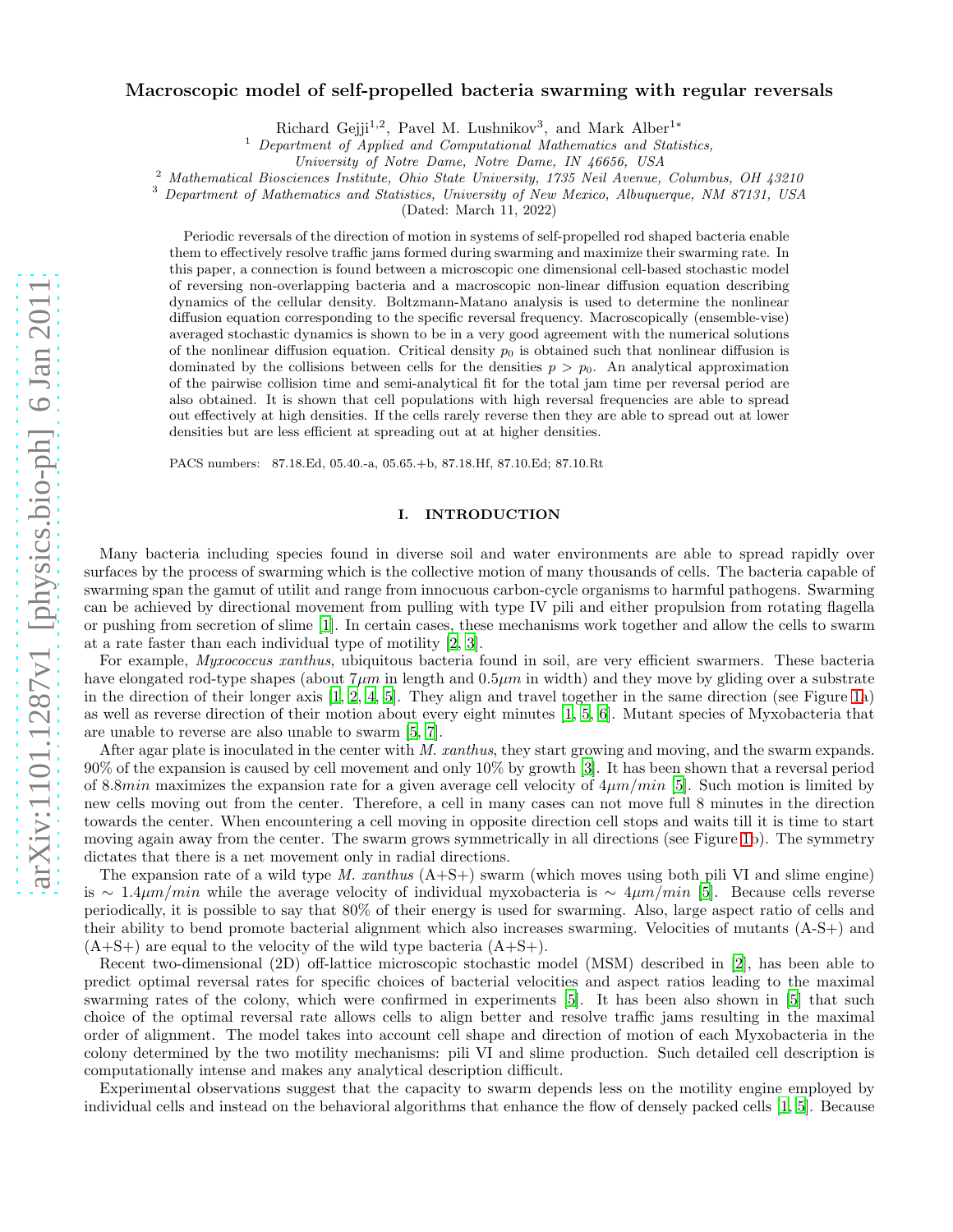# arXiv:1101.1287v1 [physics.bio-ph] 6 Jan 2011 [arXiv:1101.1287v1 \[physics.bio-ph\] 6 Jan 2011](http://arxiv.org/abs/1101.1287v1)

# Macroscopic model of self-propelled bacteria swarming with regular reversals

Richard Gejji<sup>1,2</sup>, Pavel M. Lushnikov<sup>3</sup>, and Mark Alber<sup>1\*</sup>

<sup>1</sup> Department of Applied and Computational Mathematics and Statistics,

<sup>2</sup> Mathematical Biosciences Institute, Ohio State University, 1735 Neil Avenue, Columbus, OH 43210

<sup>3</sup> Department of Mathematics and Statistics, University of New Mexico, Albuquerque, NM 87131, USA

(Dated: March 11, 2022)

Periodic reversals of the direction of motion in systems of self-propelled rod shaped bacteria enable them to effectively resolve traffic jams formed during swarming and maximize their swarming rate. In this paper, a connection is found between a microscopic one dimensional cell-based stochastic model of reversing non-overlapping bacteria and a macroscopic non-linear diffusion equation describing dynamics of the cellular density. Boltzmann-Matano analysis is used to determine the nonlinear diffusion equation corresponding to the specific reversal frequency. Macroscopically (ensemble-vise) averaged stochastic dynamics is shown to be in a very good agreement with the numerical solutions of the nonlinear diffusion equation. Critical density  $p_0$  is obtained such that nonlinear diffusion is dominated by the collisions between cells for the densities  $p > p_0$ . An analytical approximation of the pairwise collision time and semi-analytical fit for the total jam time per reversal period are also obtained. It is shown that cell populations with high reversal frequencies are able to spread out effectively at high densities. If the cells rarely reverse then they are able to spread out at lower densities but are less efficient at spreading out at at higher densities.

PACS numbers: 87.18.Ed, 05.40.-a, 05.65.+b, 87.18.Hf, 87.10.Ed; 87.10.Rt

# I. INTRODUCTION

Many bacteria including species found in diverse soil and water environments are able to spread rapidly over surfaces by the process of swarming which is the collective motion of many thousands of cells. The bacteria capable of swarming span the gamut of utilit and range from innocuous carbon-cycle organisms to harmful pathogens. Swarming can be achieved by directional movement from pulling with type IV pili and either propulsion from rotating flagella or pushing from secretion of slime [\[1](#page-19-0)]. In certain cases, these mechanisms work together and allow the cells to swarm at a rate faster than each individual type of motility [\[2,](#page-19-1) [3](#page-19-2)].

For example, *Myxococcus xanthus*, ubiquitous bacteria found in soil, are very efficient swarmers. These bacteria have elongated rod-type shapes (about  $7\mu m$  in length and  $0.5\mu m$  in width) and they move by gliding over a substrate in the direction of their longer axis [\[1,](#page-19-0) [2,](#page-19-1) [4](#page-19-3), [5](#page-19-4)]. They align and travel together in the same direction (see Figure [1a](#page-1-0)) as well as reverse direction of their motion about every eight minutes [\[1,](#page-19-0) [5](#page-19-4), [6](#page-19-5)]. Mutant species of Myxobacteria that are unable to reverse are also unable to swarm [\[5](#page-19-4), [7](#page-19-6)].

After agar plate is inoculated in the center with M. xanthus, they start growing and moving, and the swarm expands. 90% of the expansion is caused by cell movement and only 10% by growth [\[3\]](#page-19-2). It has been shown that a reversal period of 8.8min maximizes the expansion rate for a given average cell velocity of  $4\mu m/min$  [\[5](#page-19-4)]. Such motion is limited by new cells moving out from the center. Therefore, a cell in many cases can not move full 8 minutes in the direction towards the center. When encountering a cell moving in opposite direction cell stops and waits till it is time to start moving again away from the center. The swarm grows symmetrically in all directions (see Figure [1b](#page-1-0)). The symmetry dictates that there is a net movement only in radial directions.

The expansion rate of a wild type M. xanthus  $(A+S+)$  swarm (which moves using both pili VI and slime engine) is ∼ 1.4 $\mu$ m/min while the average velocity of individual myxobacteria is ∼ 4 $\mu$ m/min [\[5](#page-19-4)]. Because cells reverse periodically, it is possible to say that 80% of their energy is used for swarming. Also, large aspect ratio of cells and their ability to bend promote bacterial alignment which also increases swarming. Velocities of mutants (A-S+) and  $(A+S+)$  are equal to the velocity of the wild type bacteria  $(A+S+)$ .

Recent two-dimensional (2D) off-lattice microscopic stochastic model (MSM) described in [\[2](#page-19-1)], has been able to predict optimal reversal rates for specific choices of bacterial velocities and aspect ratios leading to the maximal swarming rates of the colony, which were confirmed in experiments [\[5\]](#page-19-4). It has been also shown in [\[5\]](#page-19-4) that such choice of the optimal reversal rate allows cells to align better and resolve traffic jams resulting in the maximal order of alignment. The model takes into account cell shape and direction of motion of each Myxobacteria in the colony determined by the two motility mechanisms: pili VI and slime production. Such detailed cell description is computationally intense and makes any analytical description difficult.

Experimental observations suggest that the capacity to swarm depends less on the motility engine employed by individual cells and instead on the behavioral algorithms that enhance the flow of densely packed cells [\[1,](#page-19-0) [5\]](#page-19-4). Because

University of Notre Dame, Notre Dame, IN 46656, USA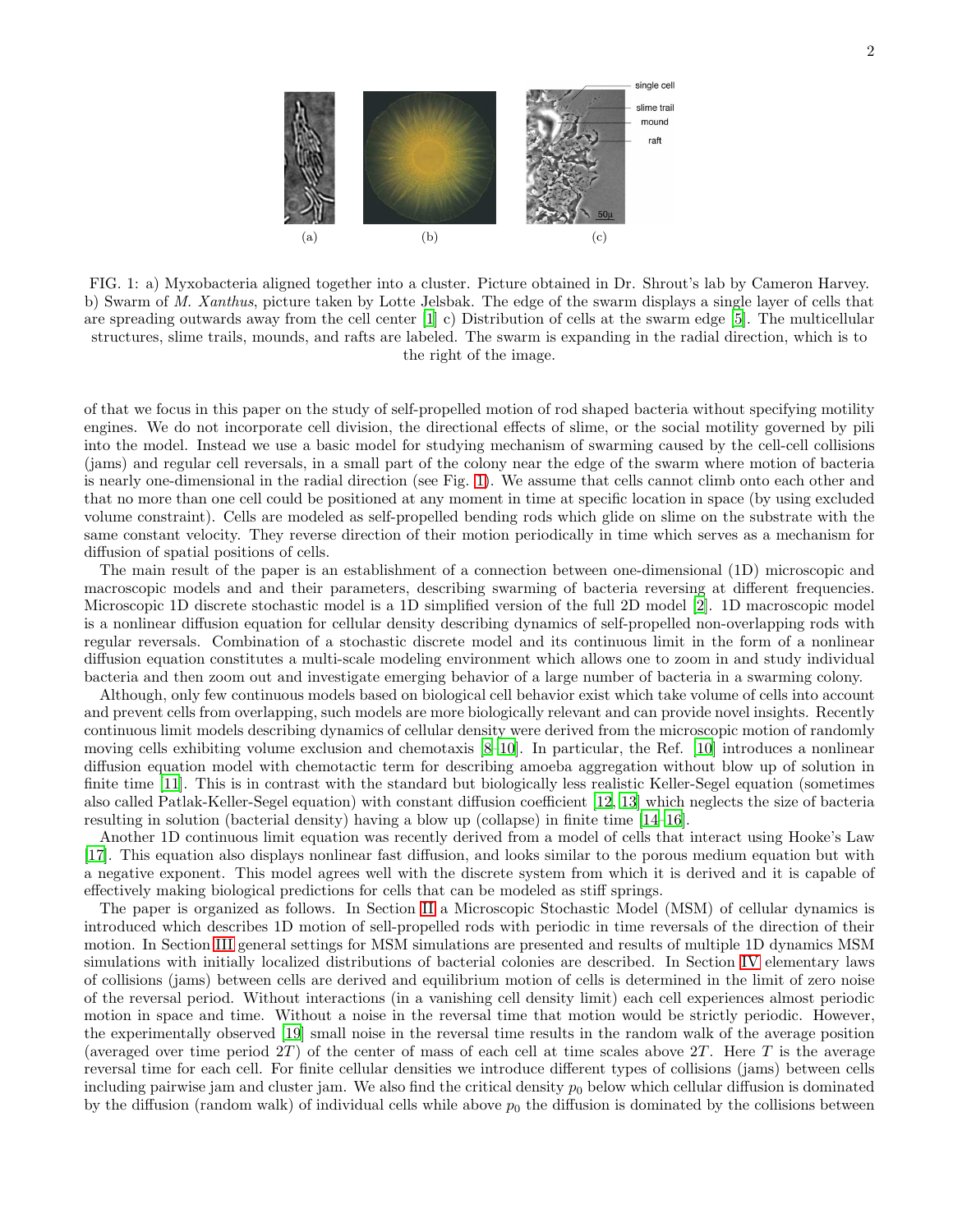

<span id="page-1-0"></span>FIG. 1: a) Myxobacteria aligned together into a cluster. Picture obtained in Dr. Shrout's lab by Cameron Harvey. b) Swarm of M. Xanthus, picture taken by Lotte Jelsbak. The edge of the swarm displays a single layer of cells that are spreading outwards away from the cell center  $[1]$  c) Distribution of cells at the swarm edge [\[5](#page-19-4)]. The multicellular structures, slime trails, mounds, and rafts are labeled. The swarm is expanding in the radial direction, which is to the right of the image.

of that we focus in this paper on the study of self-propelled motion of rod shaped bacteria without specifying motility engines. We do not incorporate cell division, the directional effects of slime, or the social motility governed by pili into the model. Instead we use a basic model for studying mechanism of swarming caused by the cell-cell collisions (jams) and regular cell reversals, in a small part of the colony near the edge of the swarm where motion of bacteria is nearly one-dimensional in the radial direction (see Fig. [1\)](#page-1-0). We assume that cells cannot climb onto each other and that no more than one cell could be positioned at any moment in time at specific location in space (by using excluded volume constraint). Cells are modeled as self-propelled bending rods which glide on slime on the substrate with the same constant velocity. They reverse direction of their motion periodically in time which serves as a mechanism for diffusion of spatial positions of cells.

The main result of the paper is an establishment of a connection between one-dimensional (1D) microscopic and macroscopic models and and their parameters, describing swarming of bacteria reversing at different frequencies. Microscopic 1D discrete stochastic model is a 1D simplified version of the full 2D model [\[2\]](#page-19-1). 1D macroscopic model is a nonlinear diffusion equation for cellular density describing dynamics of self-propelled non-overlapping rods with regular reversals. Combination of a stochastic discrete model and its continuous limit in the form of a nonlinear diffusion equation constitutes a multi-scale modeling environment which allows one to zoom in and study individual bacteria and then zoom out and investigate emerging behavior of a large number of bacteria in a swarming colony.

Although, only few continuous models based on biological cell behavior exist which take volume of cells into account and prevent cells from overlapping, such models are more biologically relevant and can provide novel insights. Recently continuous limit models describing dynamics of cellular density were derived from the microscopic motion of randomly moving cells exhibiting volume exclusion and chemotaxis [\[8](#page-19-7)[–10\]](#page-19-8). In particular, the Ref. [\[10\]](#page-19-8) introduces a nonlinear diffusion equation model with chemotactic term for describing amoeba aggregation without blow up of solution in finite time [\[11](#page-19-9)]. This is in contrast with the standard but biologically less realistic Keller-Segel equation (sometimes also called Patlak-Keller-Segel equation) with constant diffusion coefficient [\[12](#page-20-0), [13](#page-20-1)] which neglects the size of bacteria resulting in solution (bacterial density) having a blow up (collapse) in finite time [\[14](#page-20-2)[–16](#page-20-3)].

Another 1D continuous limit equation was recently derived from a model of cells that interact using Hooke's Law [\[17\]](#page-20-4). This equation also displays nonlinear fast diffusion, and looks similar to the porous medium equation but with a negative exponent. This model agrees well with the discrete system from which it is derived and it is capable of effectively making biological predictions for cells that can be modeled as stiff springs.

The paper is organized as follows. In Section [II](#page-2-0) a Microscopic Stochastic Model (MSM) of cellular dynamics is introduced which describes 1D motion of sell-propelled rods with periodic in time reversals of the direction of their motion. In Section [III](#page-4-0) general settings for MSM simulations are presented and results of multiple 1D dynamics MSM simulations with initially localized distributions of bacterial colonies are described. In Section [IV](#page-4-1) elementary laws of collisions (jams) between cells are derived and equilibrium motion of cells is determined in the limit of zero noise of the reversal period. Without interactions (in a vanishing cell density limit) each cell experiences almost periodic motion in space and time. Without a noise in the reversal time that motion would be strictly periodic. However, the experimentally observed [\[19](#page-20-5)] small noise in the reversal time results in the random walk of the average position (averaged over time period  $2T$ ) of the center of mass of each cell at time scales above  $2T$ . Here T is the average reversal time for each cell. For finite cellular densities we introduce different types of collisions (jams) between cells including pairwise jam and cluster jam. We also find the critical density  $p_0$  below which cellular diffusion is dominated by the diffusion (random walk) of individual cells while above  $p_0$  the diffusion is dominated by the collisions between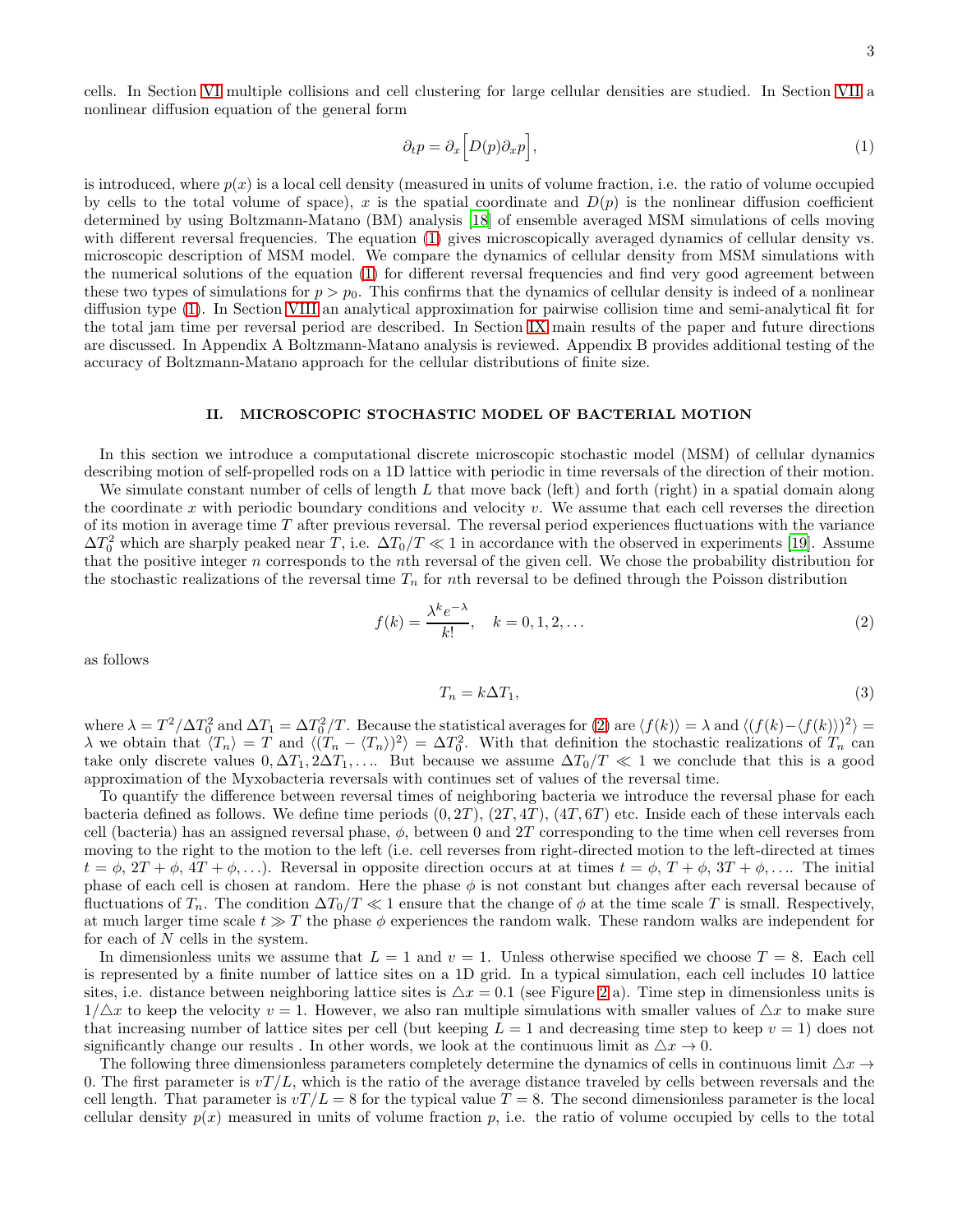cells. In Section [VI](#page-7-0) multiple collisions and cell clustering for large cellular densities are studied. In Section [VII](#page-7-1) a nonlinear diffusion equation of the general form

<span id="page-2-1"></span>
$$
\partial_t p = \partial_x \left[ D(p) \partial_x p \right],\tag{1}
$$

is introduced, where  $p(x)$  is a local cell density (measured in units of volume fraction, i.e. the ratio of volume occupied by cells to the total volume of space), x is the spatial coordinate and  $D(p)$  is the nonlinear diffusion coefficient determined by using Boltzmann-Matano (BM) analysis [\[18\]](#page-20-6) of ensemble averaged MSM simulations of cells moving with different reversal frequencies. The equation [\(1\)](#page-2-1) gives microscopically averaged dynamics of cellular density vs. microscopic description of MSM model. We compare the dynamics of cellular density from MSM simulations with the numerical solutions of the equation [\(1\)](#page-2-1) for different reversal frequencies and find very good agreement between these two types of simulations for  $p > p_0$ . This confirms that the dynamics of cellular density is indeed of a nonlinear diffusion type [\(1\)](#page-2-1). In Section [VIII](#page-13-0) an analytical approximation for pairwise collision time and semi-analytical fit for the total jam time per reversal period are described. In Section [IX](#page-16-0) main results of the paper and future directions are discussed. In Appendix A Boltzmann-Matano analysis is reviewed. Appendix B provides additional testing of the accuracy of Boltzmann-Matano approach for the cellular distributions of finite size.

### <span id="page-2-0"></span>II. MICROSCOPIC STOCHASTIC MODEL OF BACTERIAL MOTION

In this section we introduce a computational discrete microscopic stochastic model (MSM) of cellular dynamics describing motion of self-propelled rods on a 1D lattice with periodic in time reversals of the direction of their motion.

We simulate constant number of cells of length  $L$  that move back (left) and forth (right) in a spatial domain along the coordinate  $x$  with periodic boundary conditions and velocity  $v$ . We assume that each cell reverses the direction of its motion in average time T after previous reversal. The reversal period experiences fluctuations with the variance  $\Delta T_0^2$  which are sharply peaked near T, i.e.  $\Delta T_0/T \ll 1$  in accordance with the observed in experiments [\[19\]](#page-20-5). Assume that the positive integer n corresponds to the nth reversal of the given cell. We chose the probability distribution for the stochastic realizations of the reversal time  $T_n$  for nth reversal to be defined through the Poisson distribution

<span id="page-2-2"></span>
$$
f(k) = \frac{\lambda^k e^{-\lambda}}{k!}, \quad k = 0, 1, 2, \dots
$$
\n
$$
(2)
$$

as follows

<span id="page-2-3"></span>
$$
T_n = k\Delta T_1,\tag{3}
$$

where  $\lambda = T^2/\Delta T_0^2$  and  $\Delta T_1 = \Delta T_0^2/T$ . Because the statistical averages for [\(2\)](#page-2-2) are  $\langle f(k) \rangle = \lambda$  and  $\langle (f(k) - \langle f(k) \rangle)^2 \rangle =$  $\lambda$  we obtain that  $\langle T_n \rangle = T$  and  $\langle (T_n - \langle T_n \rangle)^2 \rangle = \Delta T_0^2$ . With that definition the stochastic realizations of  $T_n$  can take only discrete values  $0, \Delta T_1, 2\Delta T_1, \ldots$  But because we assume  $\Delta T_0/T \ll 1$  we conclude that this is a good approximation of the Myxobacteria reversals with continues set of values of the reversal time.

To quantify the difference between reversal times of neighboring bacteria we introduce the reversal phase for each bacteria defined as follows. We define time periods  $(0, 2T)$ ,  $(2T, 4T)$ ,  $(4T, 6T)$  etc. Inside each of these intervals each cell (bacteria) has an assigned reversal phase,  $\phi$ , between 0 and 2T corresponding to the time when cell reverses from moving to the right to the motion to the left (i.e. cell reverses from right-directed motion to the left-directed at times  $t = \phi$ ,  $2T + \phi$ ,  $4T + \phi$ ,...). Reversal in opposite direction occurs at at times  $t = \phi$ ,  $T + \phi$ ,  $3T + \phi$ ,.... The initial phase of each cell is chosen at random. Here the phase  $\phi$  is not constant but changes after each reversal because of fluctuations of  $T_n$ . The condition  $\Delta T_0/T \ll 1$  ensure that the change of  $\phi$  at the time scale T is small. Respectively, at much larger time scale  $t \gg T$  the phase  $\phi$  experiences the random walk. These random walks are independent for for each of  $N$  cells in the system.

In dimensionless units we assume that  $L = 1$  and  $v = 1$ . Unless otherwise specified we choose  $T = 8$ . Each cell is represented by a finite number of lattice sites on a 1D grid. In a typical simulation, each cell includes 10 lattice sites, i.e. distance between neighboring lattice sites is  $\Delta x = 0.1$  (see Figure [2](#page-3-0) a). Time step in dimensionless units is  $1/\Delta x$  to keep the velocity  $v = 1$ . However, we also ran multiple simulations with smaller values of  $\Delta x$  to make sure that increasing number of lattice sites per cell (but keeping  $L = 1$  and decreasing time step to keep  $v = 1$ ) does not significantly change our results . In other words, we look at the continuous limit as  $\Delta x \to 0$ .

The following three dimensionless parameters completely determine the dynamics of cells in continuous limit  $\Delta x \rightarrow$ 0. The first parameter is  $vT/L$ , which is the ratio of the average distance traveled by cells between reversals and the cell length. That parameter is  $vT/L = 8$  for the typical value  $T = 8$ . The second dimensionless parameter is the local cellular density  $p(x)$  measured in units of volume fraction p, i.e. the ratio of volume occupied by cells to the total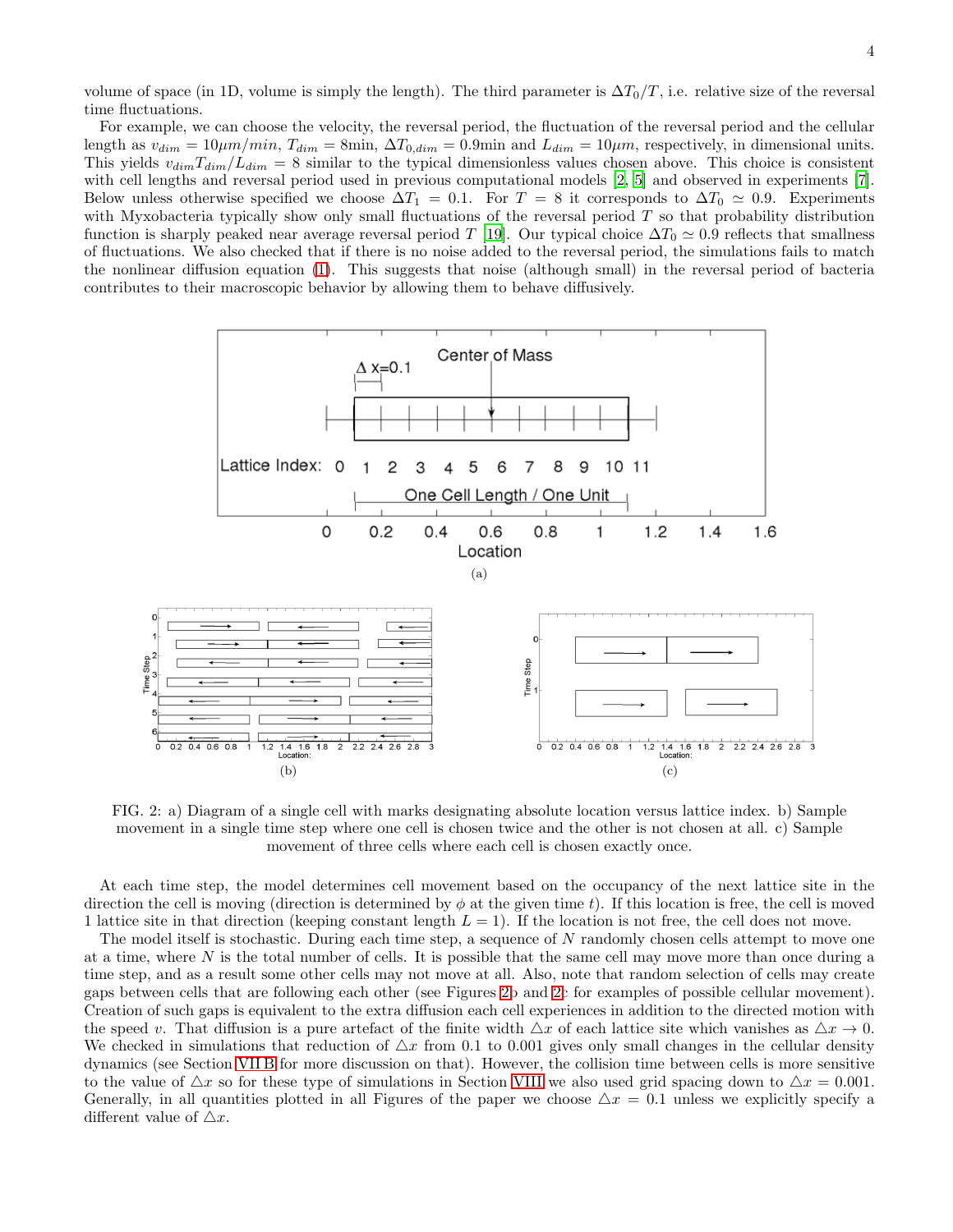volume of space (in 1D, volume is simply the length). The third parameter is  $\Delta T_0/T$ , i.e. relative size of the reversal time fluctuations.

For example, we can choose the velocity, the reversal period, the fluctuation of the reversal period and the cellular length as  $v_{dim} = 10 \mu m/min$ ,  $T_{dim} = 8 \text{min}$ ,  $\Delta T_{0,dim} = 0.9 \text{min}$  and  $L_{dim} = 10 \mu m$ , respectively, in dimensional units. This yields  $v_{dim}T_{dim}/L_{dim} = 8$  similar to the typical dimensionless values chosen above. This choice is consistent with cell lengths and reversal period used in previous computational models [\[2,](#page-19-1) [5\]](#page-19-4) and observed in experiments [\[7\]](#page-19-6). Below unless otherwise specified we choose  $\Delta T_1 = 0.1$ . For  $T = 8$  it corresponds to  $\Delta T_0 \simeq 0.9$ . Experiments with Myxobacteria typically show only small fluctuations of the reversal period T so that probability distribution function is sharply peaked near average reversal period T [\[19\]](#page-20-5). Our typical choice  $\Delta T_0 \simeq 0.9$  reflects that smallness of fluctuations. We also checked that if there is no noise added to the reversal period, the simulations fails to match the nonlinear diffusion equation [\(1\)](#page-2-1). This suggests that noise (although small) in the reversal period of bacteria contributes to their macroscopic behavior by allowing them to behave diffusively.



<span id="page-3-0"></span>FIG. 2: a) Diagram of a single cell with marks designating absolute location versus lattice index. b) Sample movement in a single time step where one cell is chosen twice and the other is not chosen at all. c) Sample movement of three cells where each cell is chosen exactly once.

At each time step, the model determines cell movement based on the occupancy of the next lattice site in the direction the cell is moving (direction is determined by  $\phi$  at the given time t). If this location is free, the cell is moved 1 lattice site in that direction (keeping constant length  $L = 1$ ). If the location is not free, the cell does not move.

The model itself is stochastic. During each time step, a sequence of N randomly chosen cells attempt to move one at a time, where N is the total number of cells. It is possible that the same cell may move more than once during a time step, and as a result some other cells may not move at all. Also, note that random selection of cells may create gaps between cells that are following each other (see Figures [2b](#page-3-0) and [2c](#page-3-0) for examples of possible cellular movement). Creation of such gaps is equivalent to the extra diffusion each cell experiences in addition to the directed motion with the speed v. That diffusion is a pure artefact of the finite width  $\Delta x$  of each lattice site which vanishes as  $\Delta x \to 0$ . We checked in simulations that reduction of  $\Delta x$  from 0.1 to 0.001 gives only small changes in the cellular density dynamics (see Section [VII B](#page-11-0) for more discussion on that). However, the collision time between cells is more sensitive to the value of  $\Delta x$  so for these type of simulations in Section [VIII](#page-13-0) we also used grid spacing down to  $\Delta x = 0.001$ . Generally, in all quantities plotted in all Figures of the paper we choose  $\Delta x = 0.1$  unless we explicitly specify a different value of  $\triangle x$ .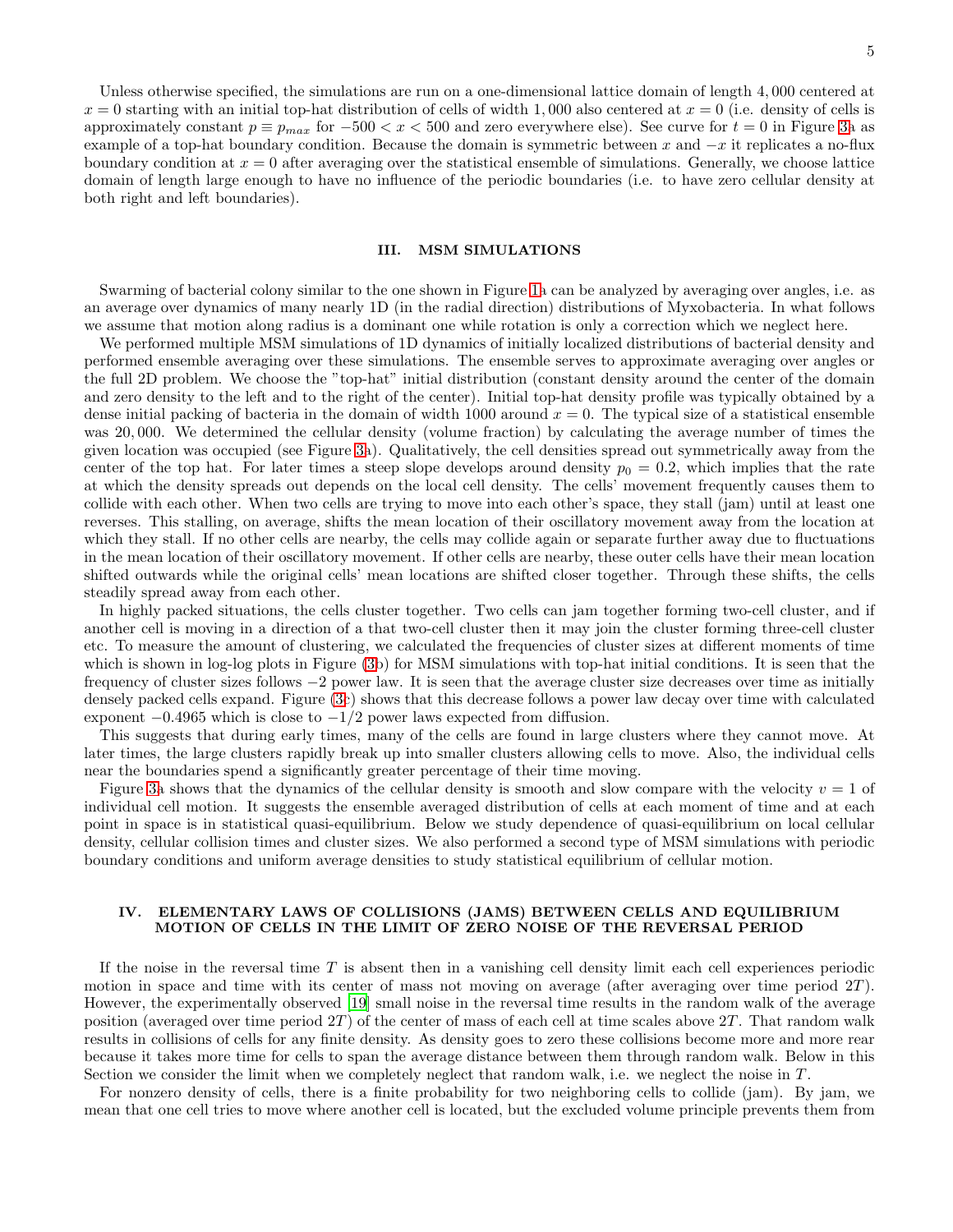Unless otherwise specified, the simulations are run on a one-dimensional lattice domain of length 4, 000 centered at  $x = 0$  starting with an initial top-hat distribution of cells of width 1,000 also centered at  $x = 0$  (i.e. density of cells is approximately constant  $p \equiv p_{max}$  for  $-500 < x < 500$  and zero everywhere else). See curve for  $t = 0$  in Figure [3a](#page-5-0) as example of a top-hat boundary condition. Because the domain is symmetric between x and  $-x$  it replicates a no-flux boundary condition at  $x = 0$  after averaging over the statistical ensemble of simulations. Generally, we choose lattice domain of length large enough to have no influence of the periodic boundaries (i.e. to have zero cellular density at both right and left boundaries).

### <span id="page-4-0"></span>III. MSM SIMULATIONS

Swarming of bacterial colony similar to the one shown in Figure [1a](#page-1-0) can be analyzed by averaging over angles, i.e. as an average over dynamics of many nearly 1D (in the radial direction) distributions of Myxobacteria. In what follows we assume that motion along radius is a dominant one while rotation is only a correction which we neglect here.

We performed multiple MSM simulations of 1D dynamics of initially localized distributions of bacterial density and performed ensemble averaging over these simulations. The ensemble serves to approximate averaging over angles or the full 2D problem. We choose the "top-hat" initial distribution (constant density around the center of the domain and zero density to the left and to the right of the center). Initial top-hat density profile was typically obtained by a dense initial packing of bacteria in the domain of width 1000 around  $x = 0$ . The typical size of a statistical ensemble was 20, 000. We determined the cellular density (volume fraction) by calculating the average number of times the given location was occupied (see Figure [3a](#page-5-0)). Qualitatively, the cell densities spread out symmetrically away from the center of the top hat. For later times a steep slope develops around density  $p_0 = 0.2$ , which implies that the rate at which the density spreads out depends on the local cell density. The cells' movement frequently causes them to collide with each other. When two cells are trying to move into each other's space, they stall (jam) until at least one reverses. This stalling, on average, shifts the mean location of their oscillatory movement away from the location at which they stall. If no other cells are nearby, the cells may collide again or separate further away due to fluctuations in the mean location of their oscillatory movement. If other cells are nearby, these outer cells have their mean location shifted outwards while the original cells' mean locations are shifted closer together. Through these shifts, the cells steadily spread away from each other.

In highly packed situations, the cells cluster together. Two cells can jam together forming two-cell cluster, and if another cell is moving in a direction of a that two-cell cluster then it may join the cluster forming three-cell cluster etc. To measure the amount of clustering, we calculated the frequencies of cluster sizes at different moments of time which is shown in log-log plots in Figure [\(3b](#page-5-0)) for MSM simulations with top-hat initial conditions. It is seen that the frequency of cluster sizes follows −2 power law. It is seen that the average cluster size decreases over time as initially densely packed cells expand. Figure [\(3c](#page-5-0)) shows that this decrease follows a power law decay over time with calculated exponent  $-0.4965$  which is close to  $-1/2$  power laws expected from diffusion.

This suggests that during early times, many of the cells are found in large clusters where they cannot move. At later times, the large clusters rapidly break up into smaller clusters allowing cells to move. Also, the individual cells near the boundaries spend a significantly greater percentage of their time moving.

Figure [3a](#page-5-0) shows that the dynamics of the cellular density is smooth and slow compare with the velocity  $v = 1$  of individual cell motion. It suggests the ensemble averaged distribution of cells at each moment of time and at each point in space is in statistical quasi-equilibrium. Below we study dependence of quasi-equilibrium on local cellular density, cellular collision times and cluster sizes. We also performed a second type of MSM simulations with periodic boundary conditions and uniform average densities to study statistical equilibrium of cellular motion.

# <span id="page-4-1"></span>IV. ELEMENTARY LAWS OF COLLISIONS (JAMS) BETWEEN CELLS AND EQUILIBRIUM MOTION OF CELLS IN THE LIMIT OF ZERO NOISE OF THE REVERSAL PERIOD

If the noise in the reversal time  $T$  is absent then in a vanishing cell density limit each cell experiences periodic motion in space and time with its center of mass not moving on average (after averaging over time period  $2T$ ). However, the experimentally observed [\[19\]](#page-20-5) small noise in the reversal time results in the random walk of the average position (averaged over time period  $2T$ ) of the center of mass of each cell at time scales above  $2T$ . That random walk results in collisions of cells for any finite density. As density goes to zero these collisions become more and more rear because it takes more time for cells to span the average distance between them through random walk. Below in this Section we consider the limit when we completely neglect that random walk, i.e. we neglect the noise in T.

For nonzero density of cells, there is a finite probability for two neighboring cells to collide (jam). By jam, we mean that one cell tries to move where another cell is located, but the excluded volume principle prevents them from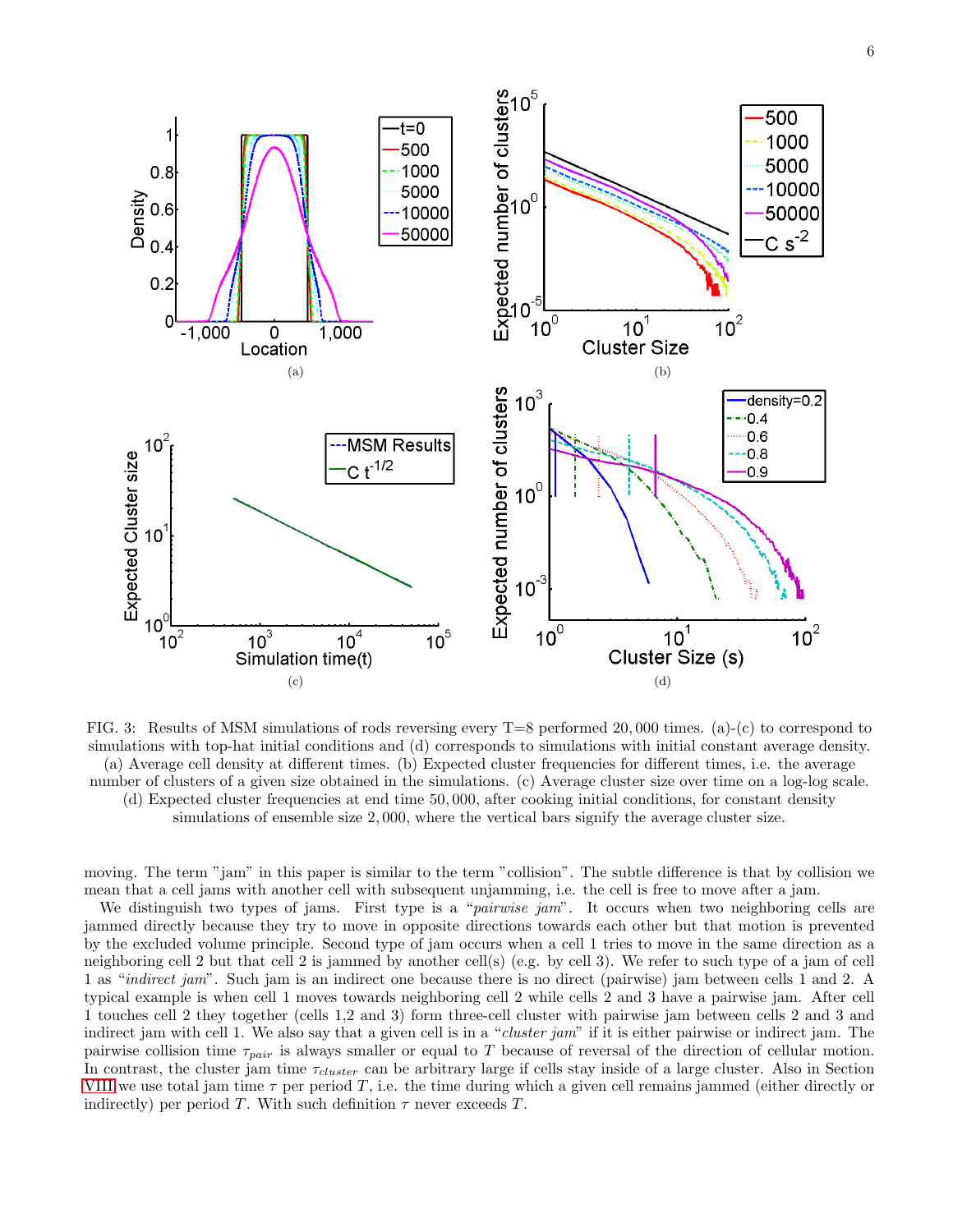

<span id="page-5-0"></span>FIG. 3: Results of MSM simulations of rods reversing every T=8 performed 20, 000 times. (a)-(c) to correspond to simulations with top-hat initial conditions and (d) corresponds to simulations with initial constant average density. (a) Average cell density at different times. (b) Expected cluster frequencies for different times, i.e. the average number of clusters of a given size obtained in the simulations. (c) Average cluster size over time on a log-log scale. (d) Expected cluster frequencies at end time 50, 000, after cooking initial conditions, for constant density simulations of ensemble size 2, 000, where the vertical bars signify the average cluster size.

moving. The term "jam" in this paper is similar to the term "collision". The subtle difference is that by collision we mean that a cell jams with another cell with subsequent unjamming, i.e. the cell is free to move after a jam.

We distinguish two types of jams. First type is a "*pairwise jam*". It occurs when two neighboring cells are jammed directly because they try to move in opposite directions towards each other but that motion is prevented by the excluded volume principle. Second type of jam occurs when a cell 1 tries to move in the same direction as a neighboring cell 2 but that cell 2 is jammed by another cell(s) (e.g. by cell 3). We refer to such type of a jam of cell 1 as "indirect jam". Such jam is an indirect one because there is no direct (pairwise) jam between cells 1 and 2. A typical example is when cell 1 moves towards neighboring cell 2 while cells 2 and 3 have a pairwise jam. After cell 1 touches cell 2 they together (cells 1,2 and 3) form three-cell cluster with pairwise jam between cells 2 and 3 and indirect jam with cell 1. We also say that a given cell is in a "*cluster jam*" if it is either pairwise or indirect jam. The pairwise collision time  $\tau_{pair}$  is always smaller or equal to T because of reversal of the direction of cellular motion. In contrast, the cluster jam time  $\tau_{cluster}$  can be arbitrary large if cells stay inside of a large cluster. Also in Section [VIII](#page-13-0) we use total jam time  $\tau$  per period T, i.e. the time during which a given cell remains jammed (either directly or indirectly) per period T. With such definition  $\tau$  never exceeds T.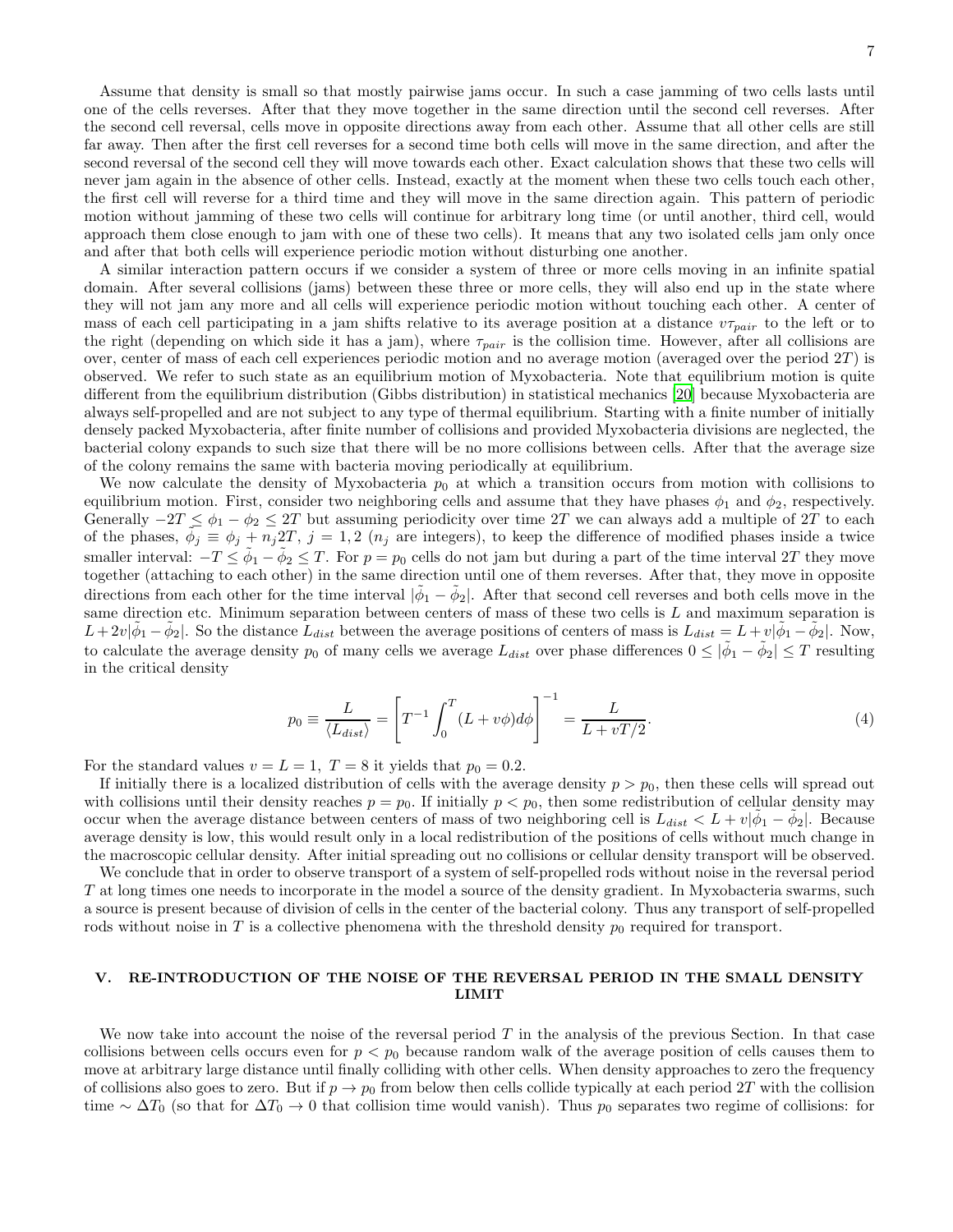Assume that density is small so that mostly pairwise jams occur. In such a case jamming of two cells lasts until one of the cells reverses. After that they move together in the same direction until the second cell reverses. After the second cell reversal, cells move in opposite directions away from each other. Assume that all other cells are still far away. Then after the first cell reverses for a second time both cells will move in the same direction, and after the second reversal of the second cell they will move towards each other. Exact calculation shows that these two cells will never jam again in the absence of other cells. Instead, exactly at the moment when these two cells touch each other, the first cell will reverse for a third time and they will move in the same direction again. This pattern of periodic motion without jamming of these two cells will continue for arbitrary long time (or until another, third cell, would approach them close enough to jam with one of these two cells). It means that any two isolated cells jam only once and after that both cells will experience periodic motion without disturbing one another.

A similar interaction pattern occurs if we consider a system of three or more cells moving in an infinite spatial domain. After several collisions (jams) between these three or more cells, they will also end up in the state where they will not jam any more and all cells will experience periodic motion without touching each other. A center of mass of each cell participating in a jam shifts relative to its average position at a distance  $v\tau_{pair}$  to the left or to the right (depending on which side it has a jam), where  $\tau_{pair}$  is the collision time. However, after all collisions are over, center of mass of each cell experiences periodic motion and no average motion (averaged over the period  $2T$ ) is observed. We refer to such state as an equilibrium motion of Myxobacteria. Note that equilibrium motion is quite different from the equilibrium distribution (Gibbs distribution) in statistical mechanics [\[20\]](#page-20-7) because Myxobacteria are always self-propelled and are not subject to any type of thermal equilibrium. Starting with a finite number of initially densely packed Myxobacteria, after finite number of collisions and provided Myxobacteria divisions are neglected, the bacterial colony expands to such size that there will be no more collisions between cells. After that the average size of the colony remains the same with bacteria moving periodically at equilibrium.

We now calculate the density of Myxobacteria  $p_0$  at which a transition occurs from motion with collisions to equilibrium motion. First, consider two neighboring cells and assume that they have phases  $\phi_1$  and  $\phi_2$ , respectively. Generally  $-2T \leq \phi_1 - \phi_2 \leq 2T$  but assuming periodicity over time 2T we can always add a multiple of 2T to each of the phases,  $\tilde{\phi}_j \equiv \phi_j + n_j 2T$ ,  $j = 1, 2$  ( $n_j$  are integers), to keep the difference of modified phases inside a twice smaller interval:  $-T \le \tilde{\phi}_1 - \tilde{\phi}_2 \le T$ . For  $p = p_0$  cells do not jam but during a part of the time interval 2T they move together (attaching to each other) in the same direction until one of them reverses. After that, they move in opposite directions from each other for the time interval  $|\tilde{\phi}_1 - \tilde{\phi}_2|$ . After that second cell reverses and both cells move in the same direction etc. Minimum separation between centers of mass of these two cells is  $L$  and maximum separation is  $L+2v|\tilde{\phi}_1-\tilde{\phi}_2|$ . So the distance  $\tilde{L}_{dist}$  between the average positions of centers of mass is  $L_{dist}=L+v|\tilde{\phi}_1-\tilde{\phi}_2|$ . Now, to calculate the average density  $p_0$  of many cells we average  $L_{dist}$  over phase differences  $0 \le |\tilde{\phi}_1 - \tilde{\phi}_2| \le T$  resulting in the critical density

<span id="page-6-1"></span>
$$
p_0 \equiv \frac{L}{\langle L_{dist} \rangle} = \left[ T^{-1} \int_0^T (L + v\phi) d\phi \right]^{-1} = \frac{L}{L + vT/2}.
$$
 (4)

For the standard values  $v = L = 1, T = 8$  it yields that  $p_0 = 0.2$ .

If initially there is a localized distribution of cells with the average density  $p > p_0$ , then these cells will spread out with collisions until their density reaches  $p = p_0$ . If initially  $p < p_0$ , then some redistribution of cellular density may occur when the average distance between centers of mass of two neighboring cell is  $L_{dist} < L + v|\tilde{\phi}_1 - \tilde{\phi}_2|$ . Because average density is low, this would result only in a local redistribution of the positions of cells without much change in the macroscopic cellular density. After initial spreading out no collisions or cellular density transport will be observed.

We conclude that in order to observe transport of a system of self-propelled rods without noise in the reversal period T at long times one needs to incorporate in the model a source of the density gradient. In Myxobacteria swarms, such a source is present because of division of cells in the center of the bacterial colony. Thus any transport of self-propelled rods without noise in T is a collective phenomena with the threshold density  $p_0$  required for transport.

# <span id="page-6-0"></span>V. RE-INTRODUCTION OF THE NOISE OF THE REVERSAL PERIOD IN THE SMALL DENSITY LIMIT

We now take into account the noise of the reversal period  $T$  in the analysis of the previous Section. In that case collisions between cells occurs even for  $p < p_0$  because random walk of the average position of cells causes them to move at arbitrary large distance until finally colliding with other cells. When density approaches to zero the frequency of collisions also goes to zero. But if  $p \to p_0$  from below then cells collide typically at each period 2T with the collision time  $\sim \Delta T_0$  (so that for  $\Delta T_0 \to 0$  that collision time would vanish). Thus  $p_0$  separates two regime of collisions: for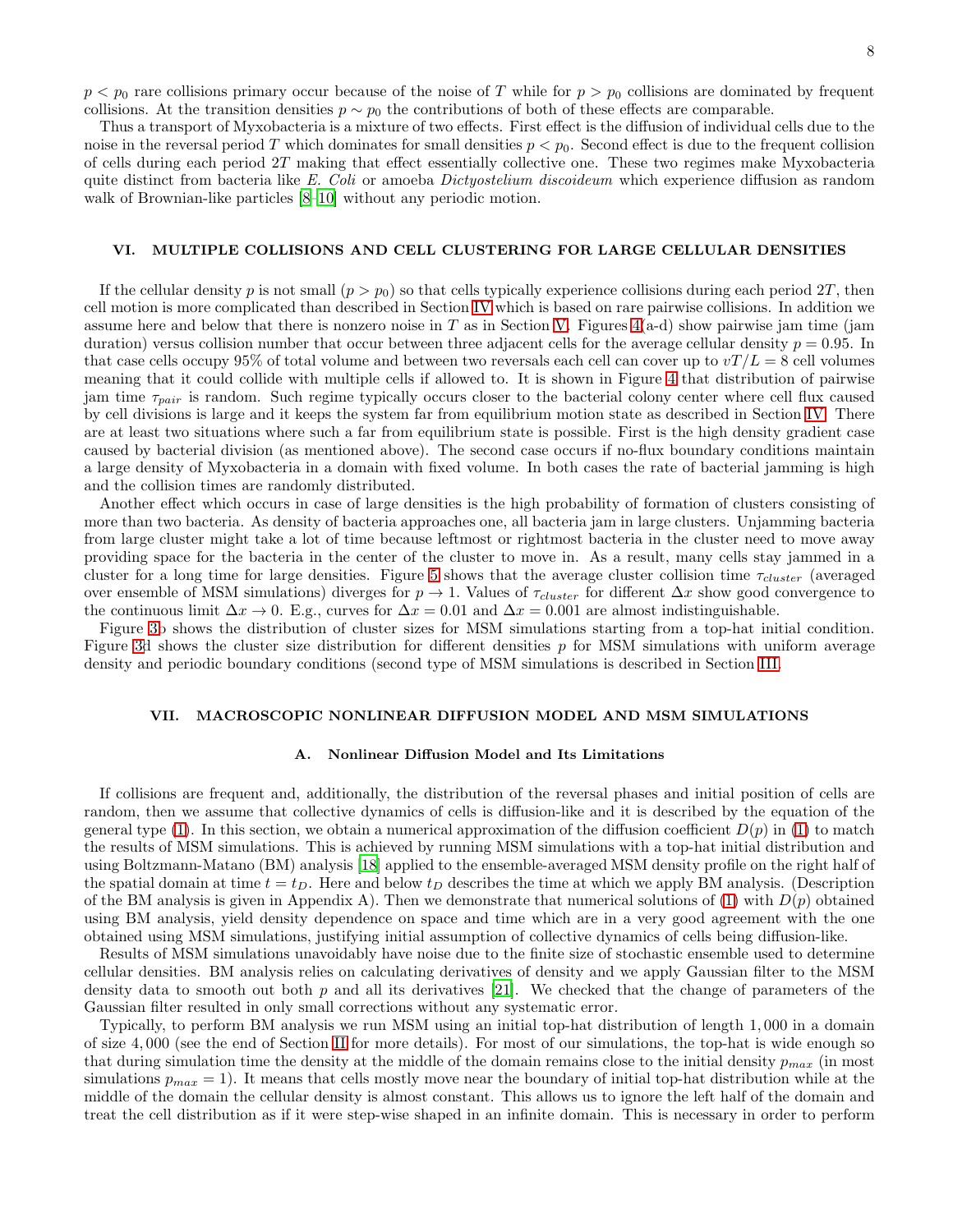$p < p_0$  rare collisions primary occur because of the noise of T while for  $p > p_0$  collisions are dominated by frequent collisions. At the transition densities  $p \sim p_0$  the contributions of both of these effects are comparable.

Thus a transport of Myxobacteria is a mixture of two effects. First effect is the diffusion of individual cells due to the noise in the reversal period T which dominates for small densities  $p < p_0$ . Second effect is due to the frequent collision of cells during each period 2T making that effect essentially collective one. These two regimes make Myxobacteria quite distinct from bacteria like E. Coli or amoeba Dictyostelium discoideum which experience diffusion as random walk of Brownian-like particles  $[8-10]$  without any periodic motion.

# <span id="page-7-0"></span>VI. MULTIPLE COLLISIONS AND CELL CLUSTERING FOR LARGE CELLULAR DENSITIES

If the cellular density p is not small  $(p > p_0)$  so that cells typically experience collisions during each period 2T, then cell motion is more complicated than described in Section [IV](#page-4-1) which is based on rare pairwise collisions. In addition we assume here and below that there is nonzero noise in  $T$  as in Section [V.](#page-6-0) Figures  $4(a-d)$  show pairwise jam time (jam duration) versus collision number that occur between three adjacent cells for the average cellular density  $p = 0.95$ . In that case cells occupy 95% of total volume and between two reversals each cell can cover up to  $vT/L = 8$  cell volumes meaning that it could collide with multiple cells if allowed to. It is shown in Figure [4](#page-8-0) that distribution of pairwise jam time  $\tau_{pair}$  is random. Such regime typically occurs closer to the bacterial colony center where cell flux caused by cell divisions is large and it keeps the system far from equilibrium motion state as described in Section [IV.](#page-4-1) There are at least two situations where such a far from equilibrium state is possible. First is the high density gradient case caused by bacterial division (as mentioned above). The second case occurs if no-flux boundary conditions maintain a large density of Myxobacteria in a domain with fixed volume. In both cases the rate of bacterial jamming is high and the collision times are randomly distributed.

Another effect which occurs in case of large densities is the high probability of formation of clusters consisting of more than two bacteria. As density of bacteria approaches one, all bacteria jam in large clusters. Unjamming bacteria from large cluster might take a lot of time because leftmost or rightmost bacteria in the cluster need to move away providing space for the bacteria in the center of the cluster to move in. As a result, many cells stay jammed in a cluster for a long time for large densities. Figure [5](#page-9-0) shows that the average cluster collision time  $\tau_{cluster}$  (averaged over ensemble of MSM simulations) diverges for  $p \to 1$ . Values of  $\tau_{cluster}$  for different  $\Delta x$  show good convergence to the continuous limit  $\Delta x \to 0$ . E.g., curves for  $\Delta x = 0.01$  and  $\Delta x = 0.001$  are almost indistinguishable.

Figure [3b](#page-5-0) shows the distribution of cluster sizes for MSM simulations starting from a top-hat initial condition. Figure [3d](#page-5-0) shows the cluster size distribution for different densities p for MSM simulations with uniform average density and periodic boundary conditions (second type of MSM simulations is described in Section [III.](#page-4-0)

### <span id="page-7-1"></span>VII. MACROSCOPIC NONLINEAR DIFFUSION MODEL AND MSM SIMULATIONS

### A. Nonlinear Diffusion Model and Its Limitations

If collisions are frequent and, additionally, the distribution of the reversal phases and initial position of cells are random, then we assume that collective dynamics of cells is diffusion-like and it is described by the equation of the general type [\(1\)](#page-2-1). In this section, we obtain a numerical approximation of the diffusion coefficient  $D(p)$  in (1) to match the results of MSM simulations. This is achieved by running MSM simulations with a top-hat initial distribution and using Boltzmann-Matano (BM) analysis [\[18](#page-20-6)] applied to the ensemble-averaged MSM density profile on the right half of the spatial domain at time  $t = t_D$ . Here and below  $t_D$  describes the time at which we apply BM analysis. (Description of the BM analysis is given in Appendix A). Then we demonstrate that numerical solutions of [\(1\)](#page-2-1) with  $D(p)$  obtained using BM analysis, yield density dependence on space and time which are in a very good agreement with the one obtained using MSM simulations, justifying initial assumption of collective dynamics of cells being diffusion-like.

Results of MSM simulations unavoidably have noise due to the finite size of stochastic ensemble used to determine cellular densities. BM analysis relies on calculating derivatives of density and we apply Gaussian filter to the MSM density data to smooth out both p and all its derivatives [\[21](#page-20-8)]. We checked that the change of parameters of the Gaussian filter resulted in only small corrections without any systematic error.

Typically, to perform BM analysis we run MSM using an initial top-hat distribution of length 1, 000 in a domain of size 4, 000 (see the end of Section [II](#page-2-0) for more details). For most of our simulations, the top-hat is wide enough so that during simulation time the density at the middle of the domain remains close to the initial density  $p_{max}$  (in most simulations  $p_{max} = 1$ ). It means that cells mostly move near the boundary of initial top-hat distribution while at the middle of the domain the cellular density is almost constant. This allows us to ignore the left half of the domain and treat the cell distribution as if it were step-wise shaped in an infinite domain. This is necessary in order to perform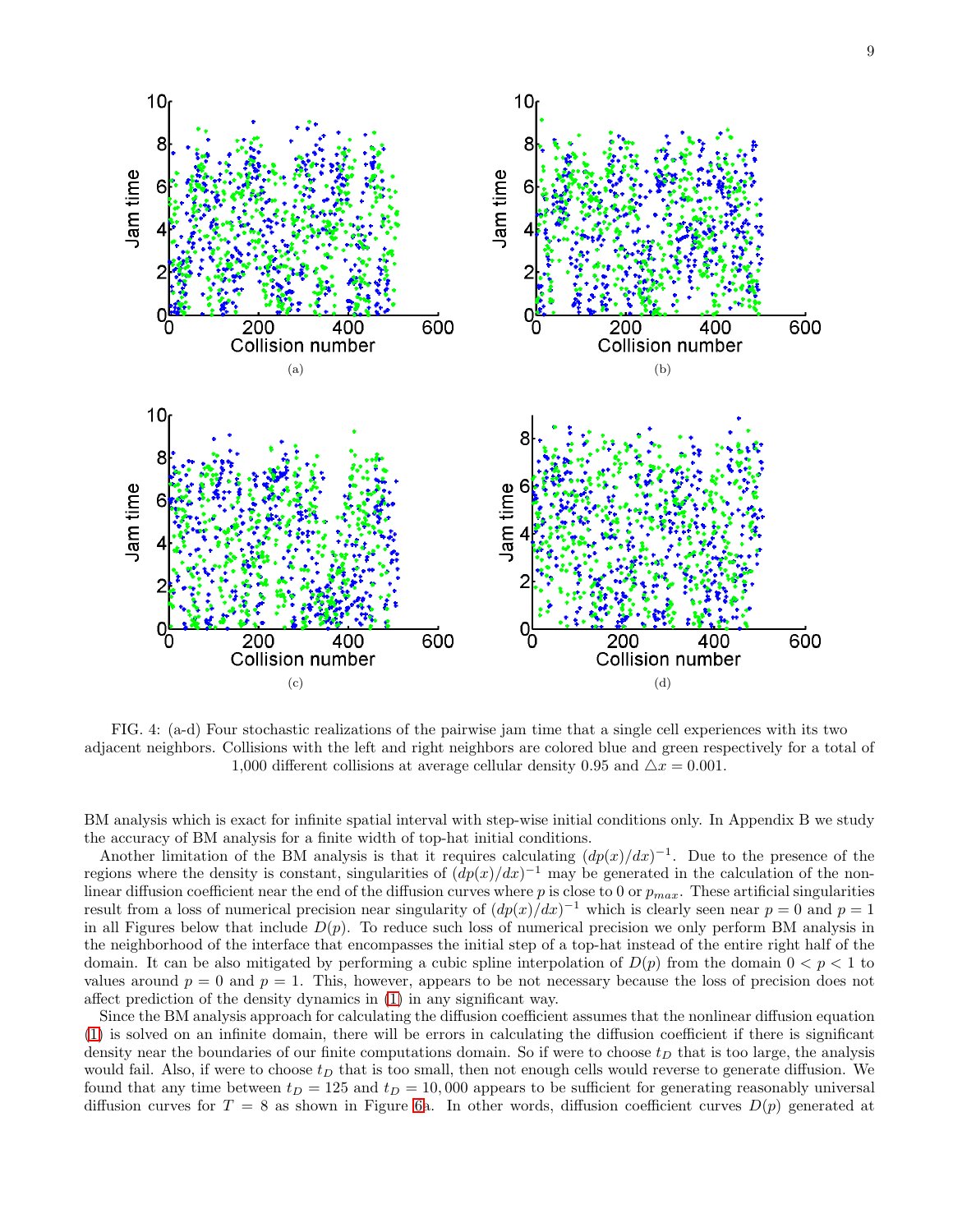

<span id="page-8-0"></span>FIG. 4: (a-d) Four stochastic realizations of the pairwise jam time that a single cell experiences with its two adjacent neighbors. Collisions with the left and right neighbors are colored blue and green respectively for a total of 1,000 different collisions at average cellular density 0.95 and  $\Delta x = 0.001$ .

BM analysis which is exact for infinite spatial interval with step-wise initial conditions only. In Appendix B we study the accuracy of BM analysis for a finite width of top-hat initial conditions.

Another limitation of the BM analysis is that it requires calculating  $(dp(x)/dx)^{-1}$ . Due to the presence of the regions where the density is constant, singularities of  $\left(\frac{dp(x)}{dx}\right)^{-1}$  may be generated in the calculation of the nonlinear diffusion coefficient near the end of the diffusion curves where p is close to 0 or  $p_{max}$ . These artificial singularities result from a loss of numerical precision near singularity of  $(dp(x)/dx)^{-1}$  which is clearly seen near  $p = 0$  and  $p = 1$ in all Figures below that include  $D(p)$ . To reduce such loss of numerical precision we only perform BM analysis in the neighborhood of the interface that encompasses the initial step of a top-hat instead of the entire right half of the domain. It can be also mitigated by performing a cubic spline interpolation of  $D(p)$  from the domain  $0 < p < 1$  to values around  $p = 0$  and  $p = 1$ . This, however, appears to be not necessary because the loss of precision does not affect prediction of the density dynamics in [\(1\)](#page-2-1) in any significant way.

Since the BM analysis approach for calculating the diffusion coefficient assumes that the nonlinear diffusion equation [\(1\)](#page-2-1) is solved on an infinite domain, there will be errors in calculating the diffusion coefficient if there is significant density near the boundaries of our finite computations domain. So if were to choose  $t_D$  that is too large, the analysis would fail. Also, if were to choose  $t_D$  that is too small, then not enough cells would reverse to generate diffusion. We found that any time between  $t_D = 125$  and  $t_D = 10,000$  appears to be sufficient for generating reasonably universal diffusion curves for  $T = 8$  as shown in Figure [6a](#page-10-0). In other words, diffusion coefficient curves  $D(p)$  generated at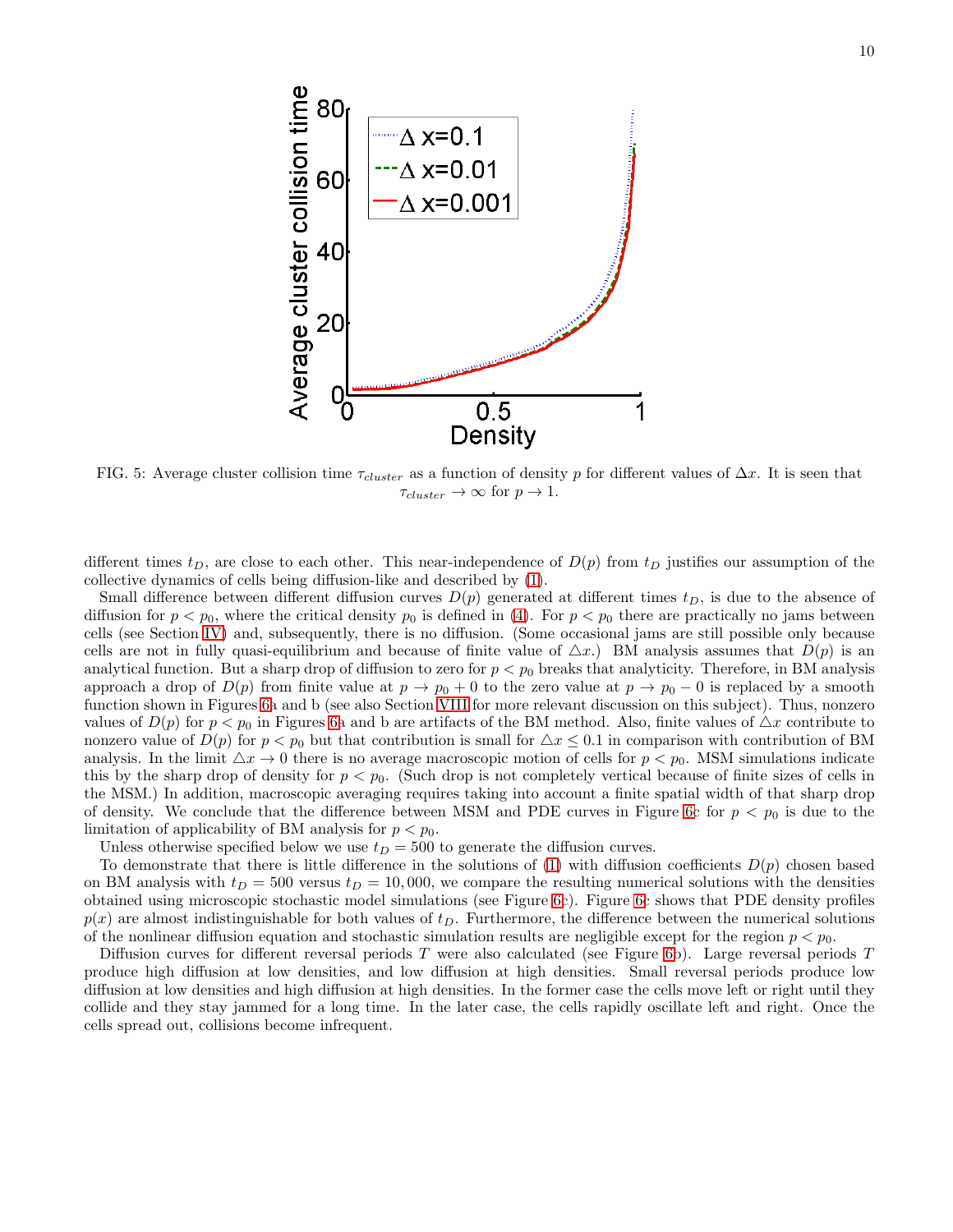

<span id="page-9-0"></span>FIG. 5: Average cluster collision time  $\tau_{cluster}$  as a function of density p for different values of  $\Delta x$ . It is seen that  $\tau_{cluster} \rightarrow \infty$  for  $p \rightarrow 1$ .

different times  $t_D$ , are close to each other. This near-independence of  $D(p)$  from  $t_D$  justifies our assumption of the collective dynamics of cells being diffusion-like and described by [\(1\)](#page-2-1).

Small difference between different diffusion curves  $D(p)$  generated at different times  $t_D$ , is due to the absence of diffusion for  $p < p_0$ , where the critical density  $p_0$  is defined in [\(4\)](#page-6-1). For  $p < p_0$  there are practically no jams between cells (see Section [IV\)](#page-4-1) and, subsequently, there is no diffusion. (Some occasional jams are still possible only because cells are not in fully quasi-equilibrium and because of finite value of  $\Delta x$ .) BM analysis assumes that  $D(p)$  is an analytical function. But a sharp drop of diffusion to zero for  $p < p_0$  breaks that analyticity. Therefore, in BM analysis approach a drop of  $D(p)$  from finite value at  $p \to p_0 + 0$  to the zero value at  $p \to p_0 - 0$  is replaced by a smooth function shown in Figures [6a](#page-10-0) and b (see also Section [VIII](#page-13-0) for more relevant discussion on this subject). Thus, nonzero values of  $D(p)$  for  $p < p_0$  in Figures [6a](#page-10-0) and b are artifacts of the BM method. Also, finite values of  $\Delta x$  contribute to nonzero value of  $D(p)$  for  $p < p_0$  but that contribution is small for  $\Delta x \leq 0.1$  in comparison with contribution of BM analysis. In the limit  $\Delta x \to 0$  there is no average macroscopic motion of cells for  $p < p_0$ . MSM simulations indicate this by the sharp drop of density for  $p < p_0$ . (Such drop is not completely vertical because of finite sizes of cells in the MSM.) In addition, macroscopic averaging requires taking into account a finite spatial width of that sharp drop of density. We conclude that the difference between MSM and PDE curves in Figure [6c](#page-10-0) for  $p < p_0$  is due to the limitation of applicability of BM analysis for  $p < p_0$ .

Unless otherwise specified below we use  $t_D = 500$  to generate the diffusion curves.

To demonstrate that there is little difference in the solutions of  $(1)$  with diffusion coefficients  $D(p)$  chosen based on BM analysis with  $t_D = 500$  versus  $t_D = 10,000$ , we compare the resulting numerical solutions with the densities obtained using microscopic stochastic model simulations (see Figure [6c](#page-10-0)). Figure [6c](#page-10-0) shows that PDE density profiles  $p(x)$  are almost indistinguishable for both values of  $t<sub>D</sub>$ . Furthermore, the difference between the numerical solutions of the nonlinear diffusion equation and stochastic simulation results are negligible except for the region  $p < p_0$ .

Diffusion curves for different reversal periods T were also calculated (see Figure [6b](#page-10-0)). Large reversal periods T produce high diffusion at low densities, and low diffusion at high densities. Small reversal periods produce low diffusion at low densities and high diffusion at high densities. In the former case the cells move left or right until they collide and they stay jammed for a long time. In the later case, the cells rapidly oscillate left and right. Once the cells spread out, collisions become infrequent.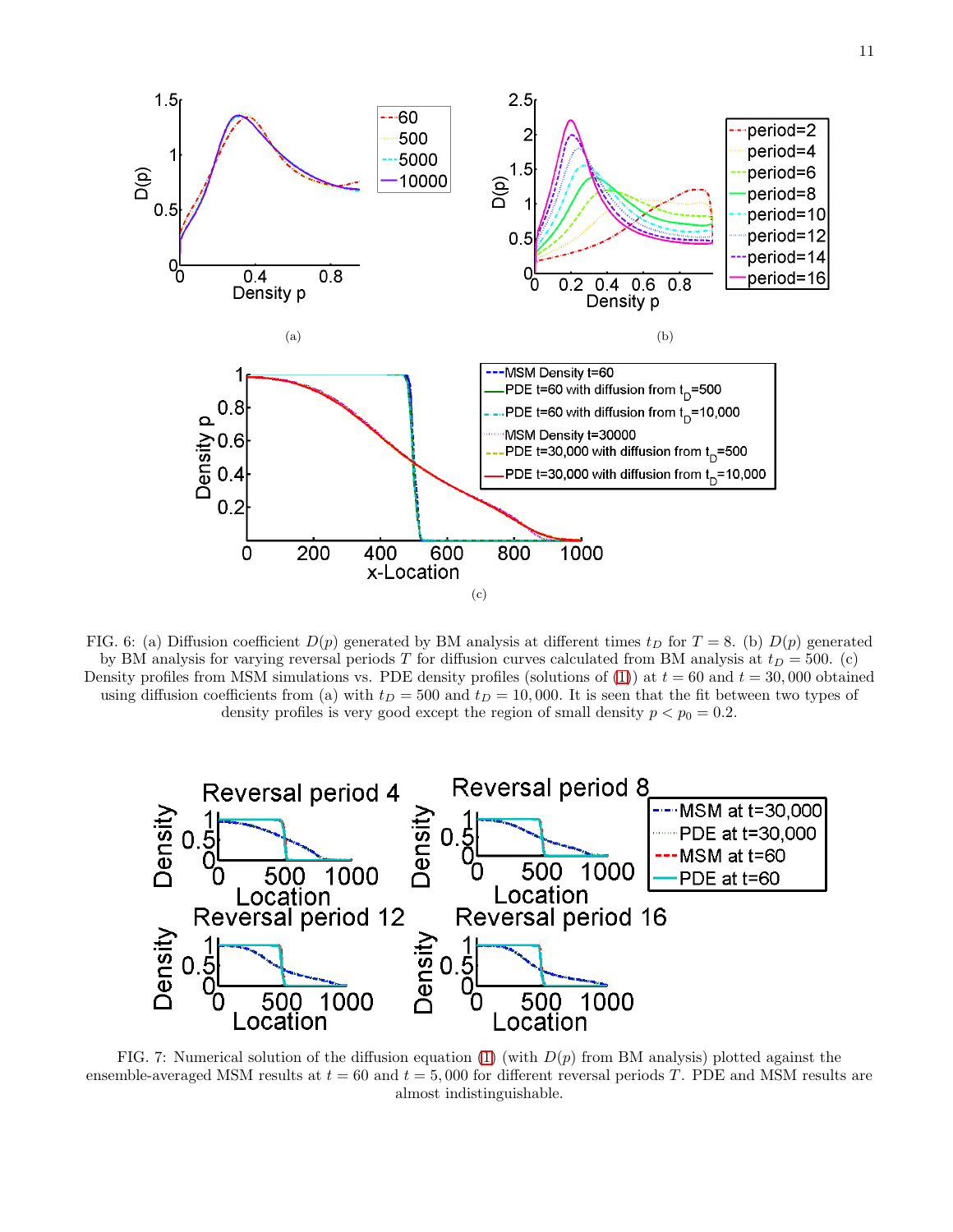

<span id="page-10-0"></span>FIG. 6: (a) Diffusion coefficient  $D(p)$  generated by BM analysis at different times  $t_D$  for  $T = 8$ . (b)  $D(p)$  generated by BM analysis for varying reversal periods T for diffusion curves calculated from BM analysis at  $t_D = 500$ . (c) Density profiles from MSM simulations vs. PDE density profiles (solutions of [\(1\)](#page-2-1)) at  $t = 60$  and  $t = 30,000$  obtained using diffusion coefficients from (a) with  $t_D = 500$  and  $t_D = 10,000$ . It is seen that the fit between two types of density profiles is very good except the region of small density  $p < p_0 = 0.2$ .



<span id="page-10-1"></span>FIG. 7: Numerical solution of the diffusion equation [\(1\)](#page-2-1) (with  $D(p)$  from BM analysis) plotted against the ensemble-averaged MSM results at  $t = 60$  and  $t = 5,000$  for different reversal periods T. PDE and MSM results are almost indistinguishable.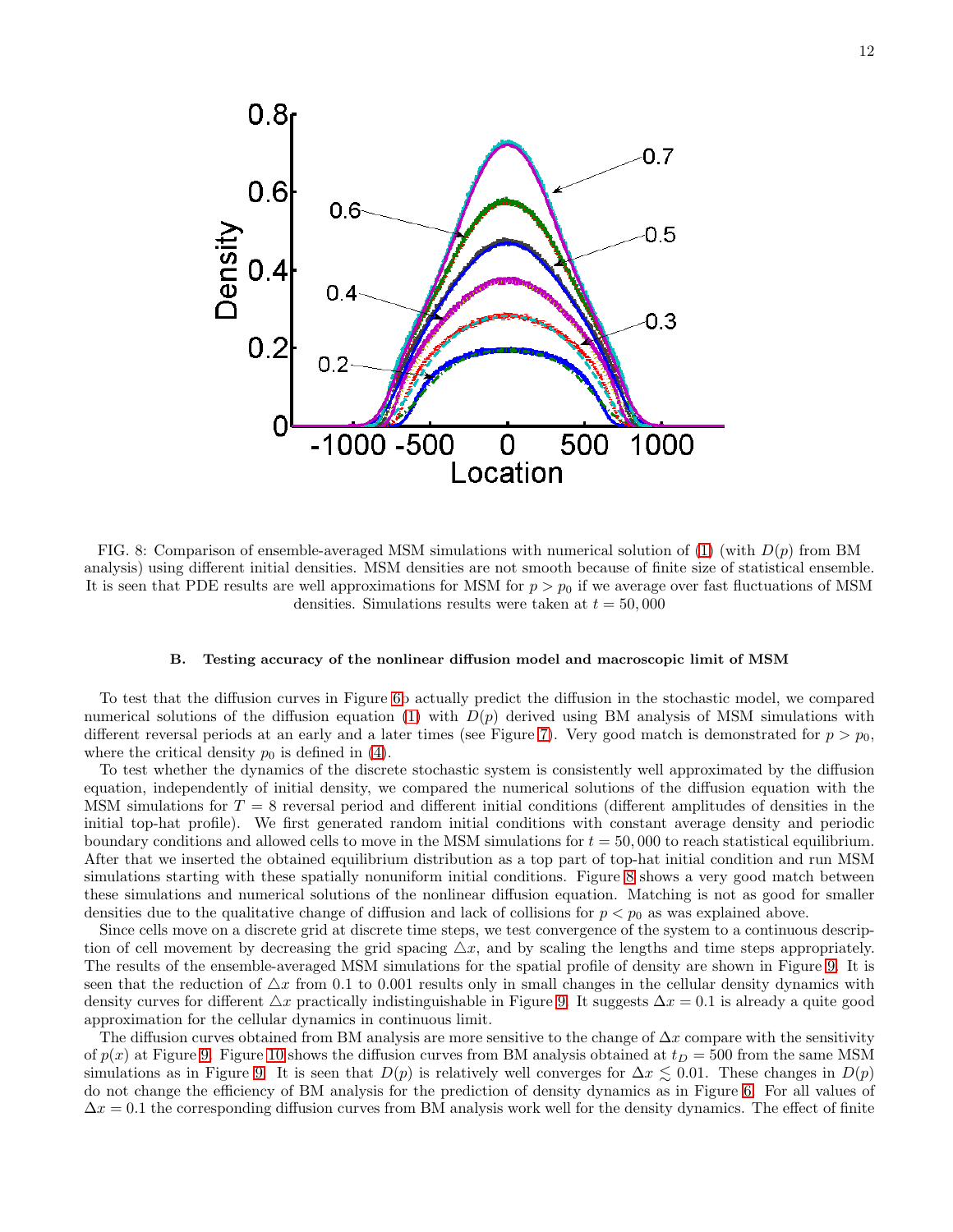

<span id="page-11-1"></span>FIG. 8: Comparison of ensemble-averaged MSM simulations with numerical solution of [\(1\)](#page-2-1) (with  $D(p)$  from BM analysis) using different initial densities. MSM densities are not smooth because of finite size of statistical ensemble. It is seen that PDE results are well approximations for MSM for  $p > p_0$  if we average over fast fluctuations of MSM densities. Simulations results were taken at  $t = 50,000$ 

### <span id="page-11-0"></span>B. Testing accuracy of the nonlinear diffusion model and macroscopic limit of MSM

To test that the diffusion curves in Figure [6b](#page-10-0) actually predict the diffusion in the stochastic model, we compared numerical solutions of the diffusion equation [\(1\)](#page-2-1) with  $D(p)$  derived using BM analysis of MSM simulations with different reversal periods at an early and a later times (see Figure [7\)](#page-10-1). Very good match is demonstrated for  $p > p_0$ , where the critical density  $p_0$  is defined in [\(4\)](#page-6-1).

To test whether the dynamics of the discrete stochastic system is consistently well approximated by the diffusion equation, independently of initial density, we compared the numerical solutions of the diffusion equation with the MSM simulations for  $T = 8$  reversal period and different initial conditions (different amplitudes of densities in the initial top-hat profile). We first generated random initial conditions with constant average density and periodic boundary conditions and allowed cells to move in the MSM simulations for  $t = 50,000$  to reach statistical equilibrium. After that we inserted the obtained equilibrium distribution as a top part of top-hat initial condition and run MSM simulations starting with these spatially nonuniform initial conditions. Figure [8](#page-11-1) shows a very good match between these simulations and numerical solutions of the nonlinear diffusion equation. Matching is not as good for smaller densities due to the qualitative change of diffusion and lack of collisions for  $p < p_0$  as was explained above.

Since cells move on a discrete grid at discrete time steps, we test convergence of the system to a continuous description of cell movement by decreasing the grid spacing  $\Delta x$ , and by scaling the lengths and time steps appropriately. The results of the ensemble-averaged MSM simulations for the spatial profile of density are shown in Figure [9.](#page-12-0) It is seen that the reduction of  $\Delta x$  from 0.1 to 0.001 results only in small changes in the cellular density dynamics with density curves for different  $\Delta x$  practically indistinguishable in Figure [9.](#page-12-0) It suggests  $\Delta x = 0.1$  is already a quite good approximation for the cellular dynamics in continuous limit.

The diffusion curves obtained from BM analysis are more sensitive to the change of  $\Delta x$  compare with the sensitivity of  $p(x)$  at Figure [9.](#page-12-0) Figure [10](#page-12-1) shows the diffusion curves from BM analysis obtained at  $t_D = 500$  from the same MSM simulations as in Figure [9.](#page-12-0) It is seen that  $D(p)$  is relatively well converges for  $\Delta x \lesssim 0.01$ . These changes in  $D(p)$ do not change the efficiency of BM analysis for the prediction of density dynamics as in Figure [6.](#page-10-0) For all values of  $\Delta x = 0.1$  the corresponding diffusion curves from BM analysis work well for the density dynamics. The effect of finite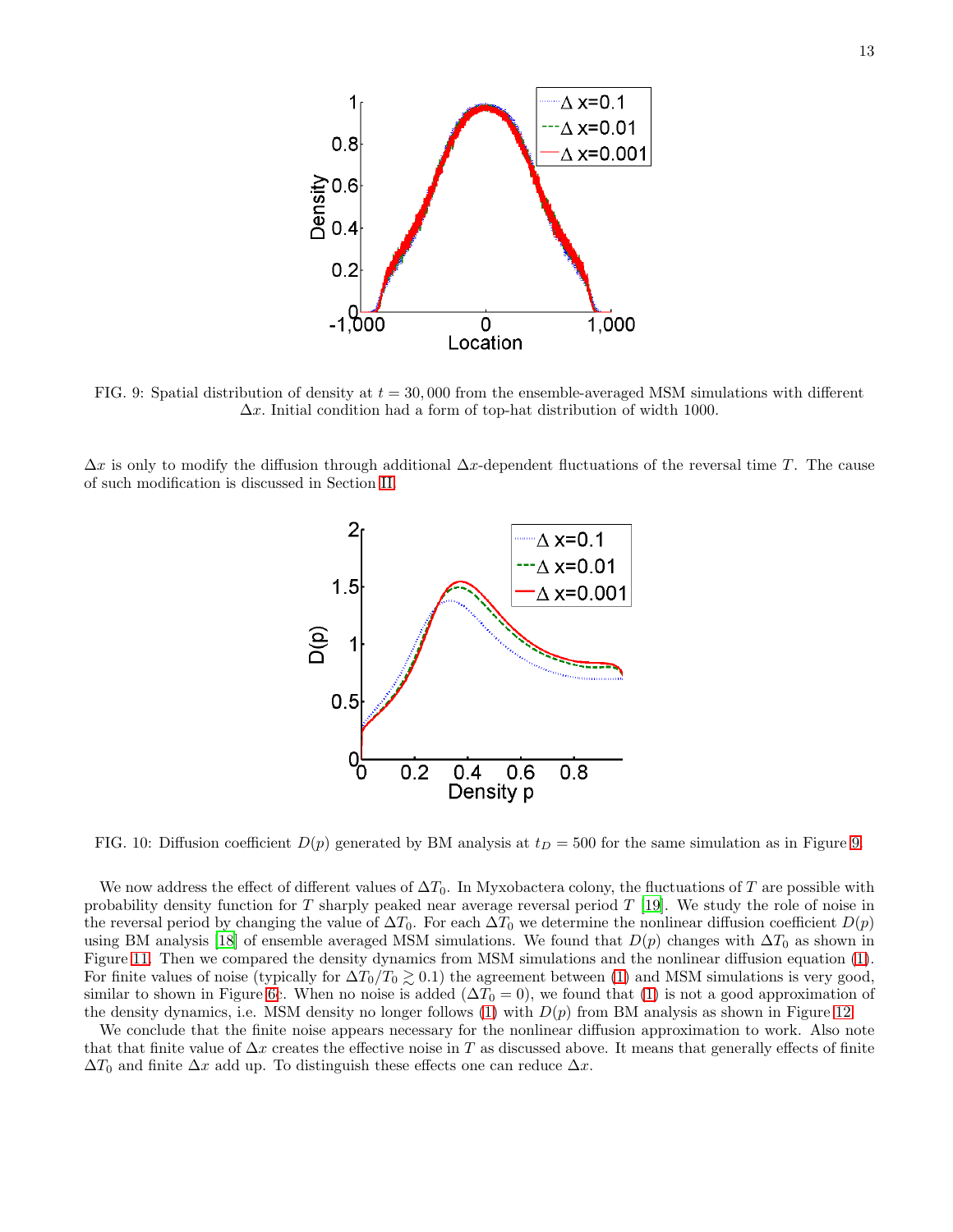

<span id="page-12-0"></span>FIG. 9: Spatial distribution of density at  $t = 30,000$  from the ensemble-averaged MSM simulations with different  $\Delta x$ . Initial condition had a form of top-hat distribution of width 1000.

 $\Delta x$  is only to modify the diffusion through additional  $\Delta x$ -dependent fluctuations of the reversal time T. The cause of such modification is discussed in Section [II.](#page-2-0)



<span id="page-12-1"></span>FIG. 10: Diffusion coefficient  $D(p)$  generated by BM analysis at  $t_D = 500$  for the same simulation as in Figure [9.](#page-12-0)

We now address the effect of different values of  $\Delta T_0$ . In Myxobactera colony, the fluctuations of T are possible with probability density function for T sharply peaked near average reversal period  $T$  [\[19](#page-20-5)]. We study the role of noise in the reversal period by changing the value of  $\Delta T_0$ . For each  $\Delta T_0$  we determine the nonlinear diffusion coefficient  $D(p)$ using BM analysis [\[18](#page-20-6)] of ensemble averaged MSM simulations. We found that  $D(p)$  changes with  $\Delta T_0$  as shown in Figure [11.](#page-13-1) Then we compared the density dynamics from MSM simulations and the nonlinear diffusion equation [\(1\)](#page-2-1). For finite values of noise (typically for  $\Delta T_0/T_0 \gtrsim 0.1$ ) the agreement between [\(1\)](#page-2-1) and MSM simulations is very good, similar to shown in Figure [6c](#page-10-0). When no noise is added  $(\Delta T_0 = 0)$ , we found that [\(1\)](#page-2-1) is not a good approximation of the density dynamics, i.e. MSM density no longer follows  $(1)$  with  $D(p)$  from BM analysis as shown in Figure [12.](#page-13-2)

We conclude that the finite noise appears necessary for the nonlinear diffusion approximation to work. Also note that that finite value of  $\Delta x$  creates the effective noise in T as discussed above. It means that generally effects of finite  $\Delta T_0$  and finite  $\Delta x$  add up. To distinguish these effects one can reduce  $\Delta x$ .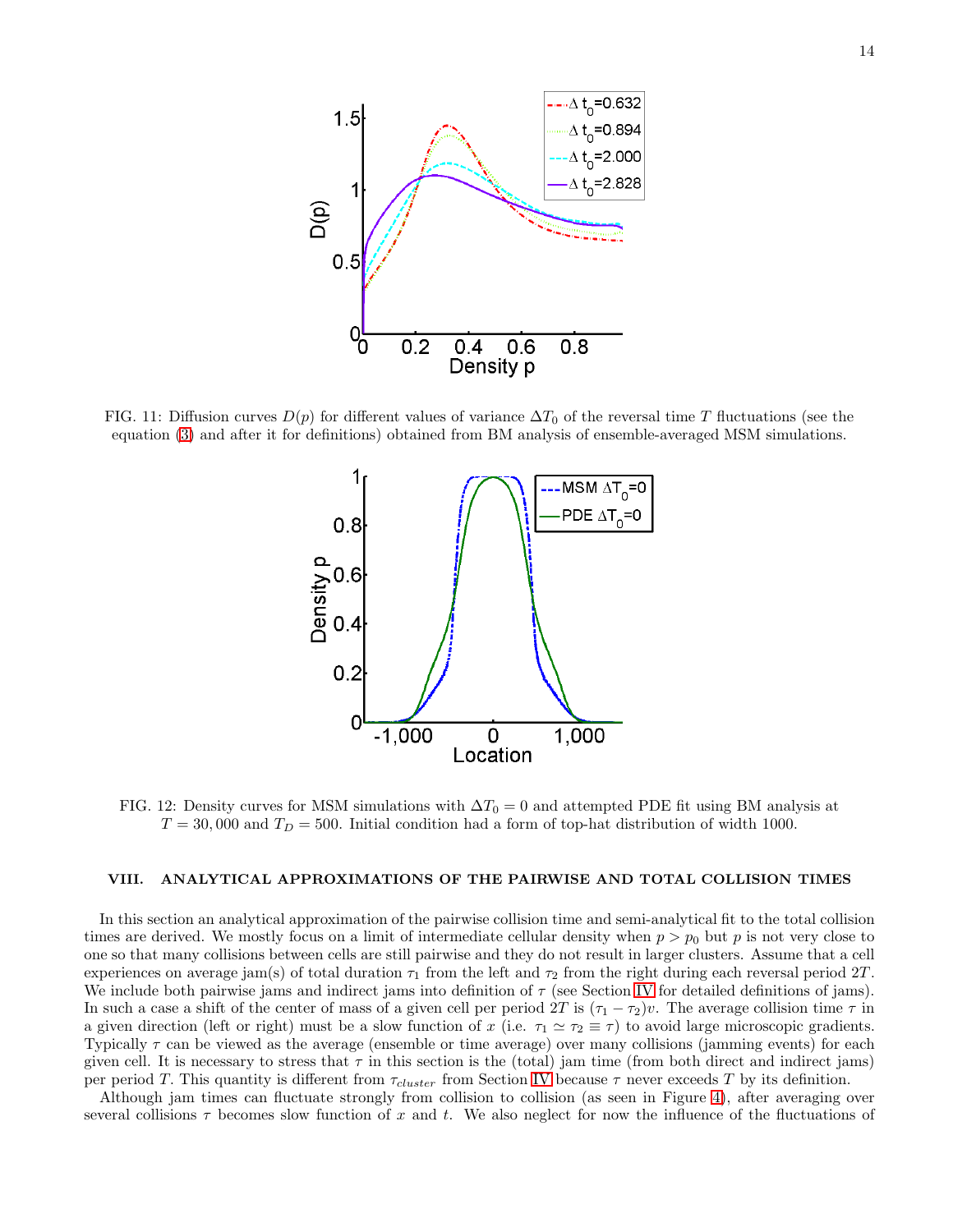

<span id="page-13-1"></span>FIG. 11: Diffusion curves  $D(p)$  for different values of variance  $\Delta T_0$  of the reversal time T fluctuations (see the equation [\(3\)](#page-2-3) and after it for definitions) obtained from BM analysis of ensemble-averaged MSM simulations.



<span id="page-13-2"></span>FIG. 12: Density curves for MSM simulations with  $\Delta T_0 = 0$  and attempted PDE fit using BM analysis at  $T = 30,000$  and  $T_D = 500$ . Initial condition had a form of top-hat distribution of width 1000.

## <span id="page-13-0"></span>VIII. ANALYTICAL APPROXIMATIONS OF THE PAIRWISE AND TOTAL COLLISION TIMES

In this section an analytical approximation of the pairwise collision time and semi-analytical fit to the total collision times are derived. We mostly focus on a limit of intermediate cellular density when  $p > p_0$  but p is not very close to one so that many collisions between cells are still pairwise and they do not result in larger clusters. Assume that a cell experiences on average jam(s) of total duration  $\tau_1$  from the left and  $\tau_2$  from the right during each reversal period 2T. We include both pairwise jams and indirect jams into definition of  $\tau$  (see Section [IV](#page-4-1) for detailed definitions of jams). In such a case a shift of the center of mass of a given cell per period 2T is  $(\tau_1 - \tau_2)v$ . The average collision time  $\tau$  in a given direction (left or right) must be a slow function of x (i.e.  $\tau_1 \simeq \tau_2 \equiv \tau$ ) to avoid large microscopic gradients. Typically  $\tau$  can be viewed as the average (ensemble or time average) over many collisions (jamming events) for each given cell. It is necessary to stress that  $\tau$  in this section is the (total) jam time (from both direct and indirect jams) per period T. This quantity is different from  $\tau_{cluster}$  from Section [IV](#page-4-1) because  $\tau$  never exceeds T by its definition.

Although jam times can fluctuate strongly from collision to collision (as seen in Figure [4\)](#page-8-0), after averaging over several collisions  $\tau$  becomes slow function of x and t. We also neglect for now the influence of the fluctuations of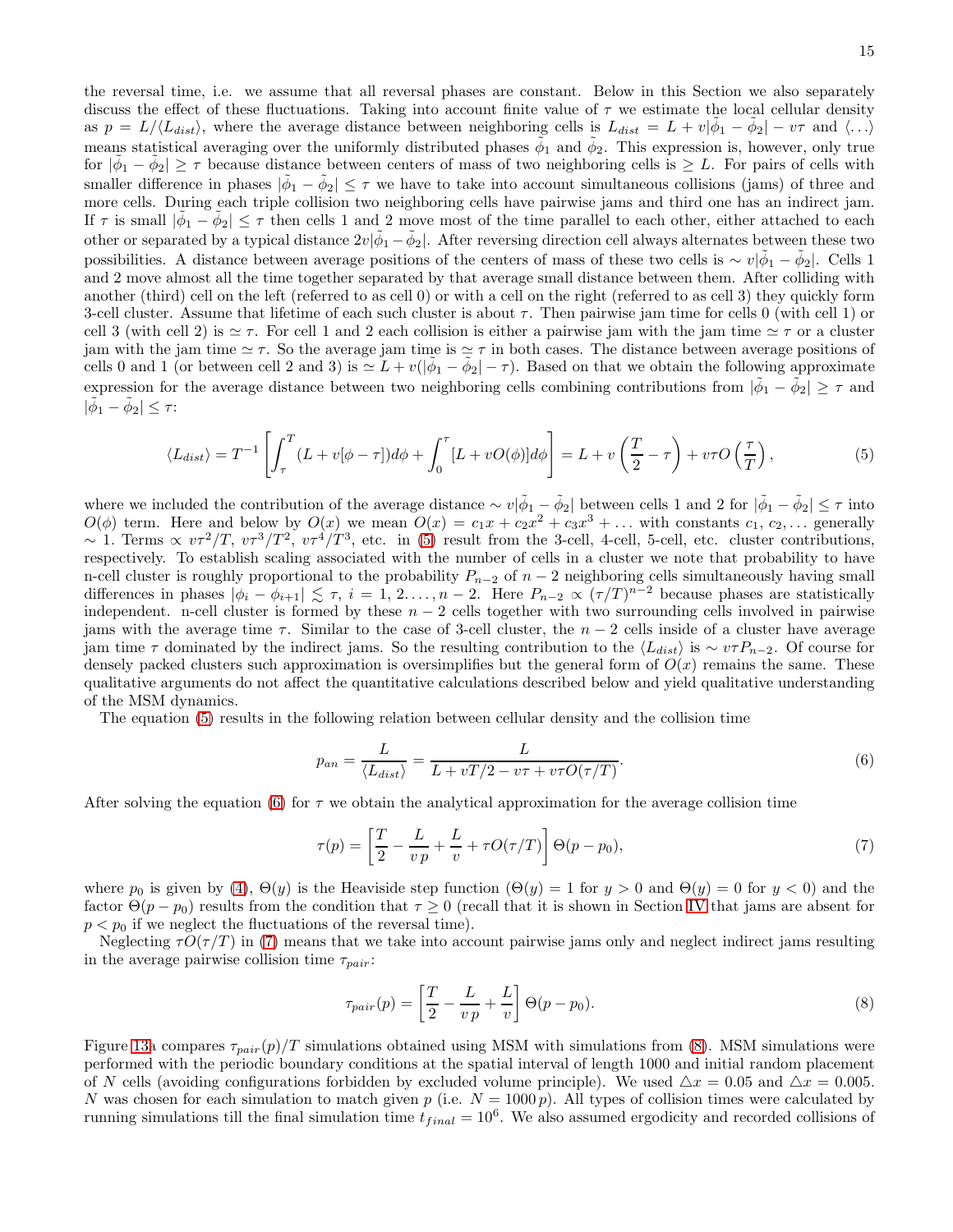15

the reversal time, i.e. we assume that all reversal phases are constant. Below in this Section we also separately discuss the effect of these fluctuations. Taking into account finite value of  $\tau$  we estimate the local cellular density as  $p = L/\langle L_{dist} \rangle$ , where the average distance between neighboring cells is  $L_{dist} = L + v|\tilde{\phi}_1 - \tilde{\phi}_2| - v\tau$  and  $\langle \ldots \rangle$ means statistical averaging over the uniformly distributed phases  $\tilde{\phi}_1$  and  $\tilde{\phi}_2$ . This expression is, however, only true for  $|\tilde{\phi}_1 - \tilde{\phi}_2| \geq \tau$  because distance between centers of mass of two neighboring cells is  $\geq L$ . For pairs of cells with smaller difference in phases  $|\tilde{\phi}_1 - \tilde{\phi}_2| \leq \tau$  we have to take into account simultaneous collisions (jams) of three and more cells. During each triple collision two neighboring cells have pairwise jams and third one has an indirect jam. If  $\tau$  is small  $|\tilde{\phi}_1 - \tilde{\phi}_2| \leq \tau$  then cells 1 and 2 move most of the time parallel to each other, either attached to each other or separated by a typical distance  $2v|\tilde{\phi}_1 - \tilde{\phi}_2|$ . After reversing direction cell always alternates between these two possibilities. A distance between average positions of the centers of mass of these two cells is  $\sim v|\tilde{\phi}_1 - \tilde{\phi}_2|$ . Cells 1 and 2 move almost all the time together separated by that average small distance between them. After colliding with another (third) cell on the left (referred to as cell 0) or with a cell on the right (referred to as cell 3) they quickly form 3-cell cluster. Assume that lifetime of each such cluster is about  $\tau$ . Then pairwise jam time for cells 0 (with cell 1) or cell 3 (with cell 2) is  $\simeq \tau$ . For cell 1 and 2 each collision is either a pairwise jam with the jam time  $\simeq \tau$  or a cluster jam with the jam time  $\simeq \tau$ . So the average jam time is  $\simeq \tau$  in both cases. The distance between average positions of cells 0 and 1 (or between cell 2 and 3) is  $\leq L + v(|\tilde{\phi}_1 - \tilde{\phi}_2| - \tau)$ . Based on that we obtain the following approximate expression for the average distance between two neighboring cells combining contributions from  $|\tilde{\phi}_1 - \tilde{\phi}_2| \geq \tau$  and  $|\tilde{\phi}_1 - \tilde{\phi}_2| \leq \tau$ :

<span id="page-14-0"></span>
$$
\langle L_{dist} \rangle = T^{-1} \left[ \int_{\tau}^{T} (L + v[\phi - \tau]) d\phi + \int_{0}^{\tau} [L + vO(\phi)] d\phi \right] = L + v \left( \frac{T}{2} - \tau \right) + v\tau O\left( \frac{\tau}{T} \right),\tag{5}
$$

where we included the contribution of the average distance  $\sim v|\tilde{\phi}_1 - \tilde{\phi}_2|$  between cells 1 and 2 for  $|\tilde{\phi}_1 - \tilde{\phi}_2| \leq \tau$  into  $O(\phi)$  term. Here and below by  $O(x)$  we mean  $O(x) = c_1x + c_2x^2 + c_3x^3 + \dots$  with constants  $c_1, c_2, \dots$  generally ~ 1. Terms  $\propto v\tau^2/T$ ,  $v\tau^3/T^2$ ,  $v\tau^4/T^3$ , etc. in [\(5\)](#page-14-0) result from the 3-cell, 4-cell, 5-cell, etc. cluster contributions, respectively. To establish scaling associated with the number of cells in a cluster we note that probability to have n-cell cluster is roughly proportional to the probability  $P_{n-2}$  of  $n-2$  neighboring cells simultaneously having small differences in phases  $|\phi_i - \phi_{i+1}| \lesssim \tau$ ,  $i = 1, 2, ..., n-2$ . Here  $P_{n-2} \propto (\tau/T)^{n-2}$  because phases are statistically independent. n-cell cluster is formed by these  $n - 2$  cells together with two surrounding cells involved in pairwise jams with the average time  $\tau$ . Similar to the case of 3-cell cluster, the  $n-2$  cells inside of a cluster have average jam time  $\tau$  dominated by the indirect jams. So the resulting contribution to the  $\langle L_{dist} \rangle$  is ~  $v\tau P_{n-2}$ . Of course for densely packed clusters such approximation is oversimplifies but the general form of  $O(x)$  remains the same. These qualitative arguments do not affect the quantitative calculations described below and yield qualitative understanding of the MSM dynamics.

The equation [\(5\)](#page-14-0) results in the following relation between cellular density and the collision time

<span id="page-14-1"></span>
$$
p_{an} = \frac{L}{\langle L_{dist} \rangle} = \frac{L}{L + vT/2 - v\tau + v\tau O(\tau/T)}.
$$
\n(6)

After solving the equation [\(6\)](#page-14-1) for  $\tau$  we obtain the analytical approximation for the average collision time

<span id="page-14-2"></span>
$$
\tau(p) = \left[\frac{T}{2} - \frac{L}{vp} + \frac{L}{v} + \tau O(\tau/T)\right] \Theta(p - p_0),\tag{7}
$$

where  $p_0$  is given by [\(4\)](#page-6-1),  $\Theta(y)$  is the Heaviside step function  $(\Theta(y) = 1$  for  $y > 0$  and  $\Theta(y) = 0$  for  $y < 0$ ) and the factor  $\Theta(p - p_0)$  results from the condition that  $\tau \geq 0$  (recall that it is shown in Section [IV](#page-4-1) that jams are absent for  $p < p_0$  if we neglect the fluctuations of the reversal time).

Neglecting  $\tau O(\tau/T)$  in [\(7\)](#page-14-2) means that we take into account pairwise jams only and neglect indirect jams resulting in the average pairwise collision time  $\tau_{pair}$ :

<span id="page-14-3"></span>
$$
\tau_{pair}(p) = \left[\frac{T}{2} - \frac{L}{v p} + \frac{L}{v}\right] \Theta(p - p_0). \tag{8}
$$

Figure [13a](#page-15-0) compares  $\tau_{pair}(p)/T$  simulations obtained using MSM with simulations from [\(8\)](#page-14-3). MSM simulations were performed with the periodic boundary conditions at the spatial interval of length 1000 and initial random placement of N cells (avoiding configurations forbidden by excluded volume principle). We used  $\Delta x = 0.05$  and  $\Delta x = 0.005$ . N was chosen for each simulation to match given p (i.e.  $N = 1000 p$ ). All types of collision times were calculated by running simulations till the final simulation time  $t_{final} = 10^6$ . We also assumed ergodicity and recorded collisions of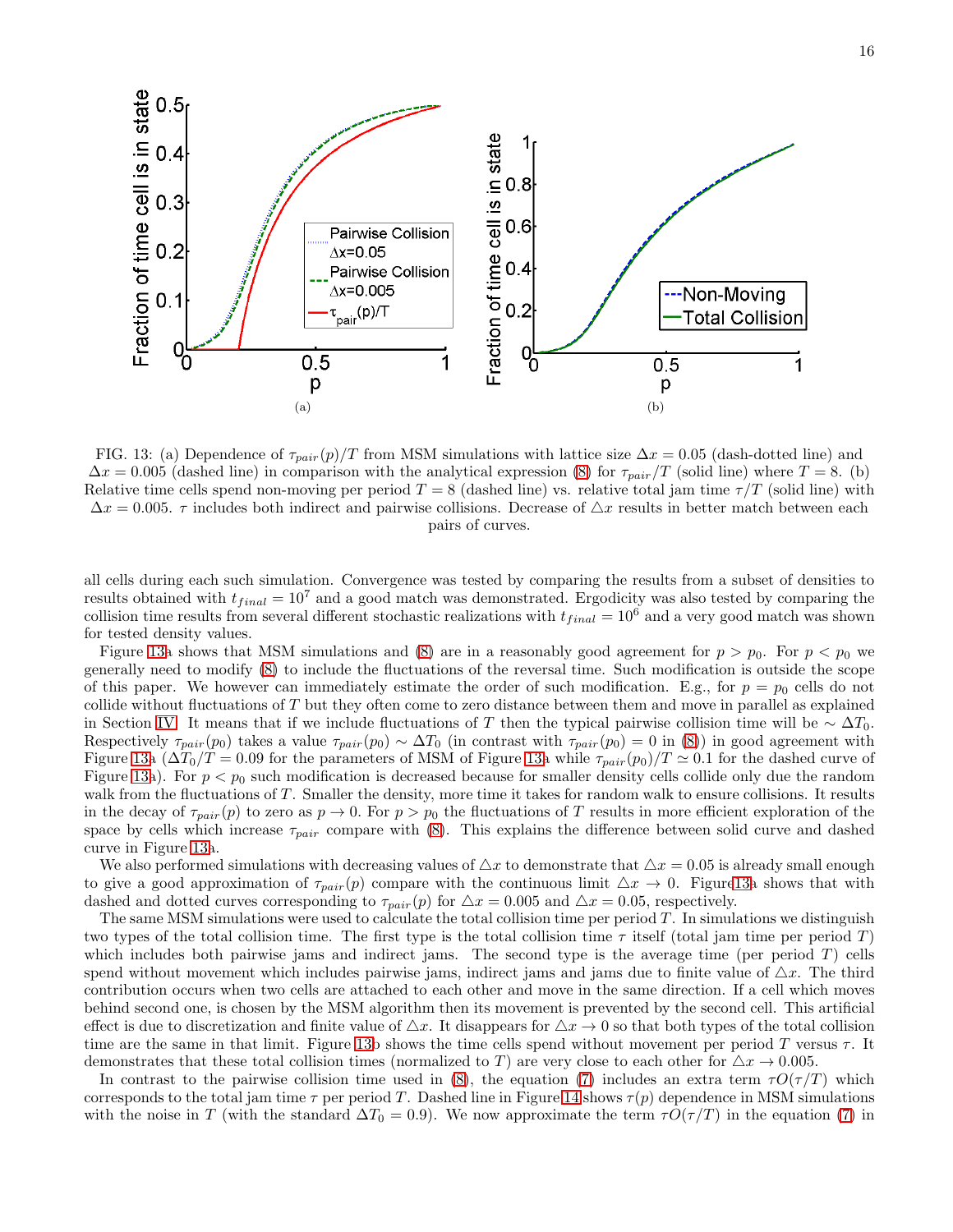

<span id="page-15-0"></span>FIG. 13: (a) Dependence of  $\tau_{pair}(p)/T$  from MSM simulations with lattice size  $\Delta x = 0.05$  (dash-dotted line) and  $\Delta x = 0.005$  (dashed line) in comparison with the analytical expression [\(8\)](#page-14-3) for  $\tau_{pair}/T$  (solid line) where  $T = 8$ . (b) Relative time cells spend non-moving per period  $T = 8$  (dashed line) vs. relative total jam time  $\tau/T$  (solid line) with  $\Delta x = 0.005$ .  $\tau$  includes both indirect and pairwise collisions. Decrease of  $\Delta x$  results in better match between each pairs of curves.

all cells during each such simulation. Convergence was tested by comparing the results from a subset of densities to results obtained with  $t_{final} = 10^7$  and a good match was demonstrated. Ergodicity was also tested by comparing the collision time results from several different stochastic realizations with  $t_{final} = 10^6$  and a very good match was shown for tested density values.

Figure [13a](#page-15-0) shows that MSM simulations and [\(8\)](#page-14-3) are in a reasonably good agreement for  $p > p_0$ . For  $p < p_0$  we generally need to modify [\(8\)](#page-14-3) to include the fluctuations of the reversal time. Such modification is outside the scope of this paper. We however can immediately estimate the order of such modification. E.g., for  $p = p_0$  cells do not collide without fluctuations of  $T$  but they often come to zero distance between them and move in parallel as explained in Section [IV.](#page-4-1) It means that if we include fluctuations of T then the typical pairwise collision time will be  $\sim \Delta T_0$ . Respectively  $\tau_{pair}(p_0)$  takes a value  $\tau_{pair}(p_0) \sim \Delta T_0$  (in contrast with  $\tau_{pair}(p_0) = 0$  in [\(8\)](#page-14-3)) in good agreement with Figure [13a](#page-15-0)  $(\Delta T_0/T = 0.09$  for the parameters of MSM of Figure 13a while  $\tau_{pair}(p_0)/T \simeq 0.1$  for the dashed curve of Figure [13a](#page-15-0)). For  $p < p_0$  such modification is decreased because for smaller density cells collide only due the random walk from the fluctuations of T. Smaller the density, more time it takes for random walk to ensure collisions. It results in the decay of  $\tau_{pair}(p)$  to zero as  $p \to 0$ . For  $p > p_0$  the fluctuations of T results in more efficient exploration of the space by cells which increase  $\tau_{pair}$  compare with [\(8\)](#page-14-3). This explains the difference between solid curve and dashed curve in Figure [13a](#page-15-0).

We also performed simulations with decreasing values of  $\Delta x$  to demonstrate that  $\Delta x = 0.05$  is already small enough to give a good approximation of  $\tau_{pair}(p)$  compare with the continuous limit  $\Delta x \to 0$ . Figur[e13a](#page-15-0) shows that with dashed and dotted curves corresponding to  $\tau_{pair}(p)$  for  $\Delta x = 0.005$  and  $\Delta x = 0.05$ , respectively.

The same MSM simulations were used to calculate the total collision time per period  $T$ . In simulations we distinguish two types of the total collision time. The first type is the total collision time  $\tau$  itself (total jam time per period T) which includes both pairwise jams and indirect jams. The second type is the average time (per period  $T$ ) cells spend without movement which includes pairwise jams, indirect jams and jams due to finite value of  $\Delta x$ . The third contribution occurs when two cells are attached to each other and move in the same direction. If a cell which moves behind second one, is chosen by the MSM algorithm then its movement is prevented by the second cell. This artificial effect is due to discretization and finite value of  $\Delta x$ . It disappears for  $\Delta x \to 0$  so that both types of the total collision time are the same in that limit. Figure [13b](#page-15-0) shows the time cells spend without movement per period T versus  $\tau$ . It demonstrates that these total collision times (normalized to T) are very close to each other for  $\Delta x \to 0.005$ .

In contrast to the pairwise collision time used in [\(8\)](#page-14-3), the equation [\(7\)](#page-14-2) includes an extra term  $\tau O(\tau/T)$  which corresponds to the total jam time  $\tau$  per period T. Dashed line in Figure [14](#page-16-1) shows  $\tau(p)$  dependence in MSM simulations with the noise in T (with the standard  $\Delta T_0 = 0.9$ ). We now approximate the term  $\tau O(\tau/T)$  in the equation [\(7\)](#page-14-2) in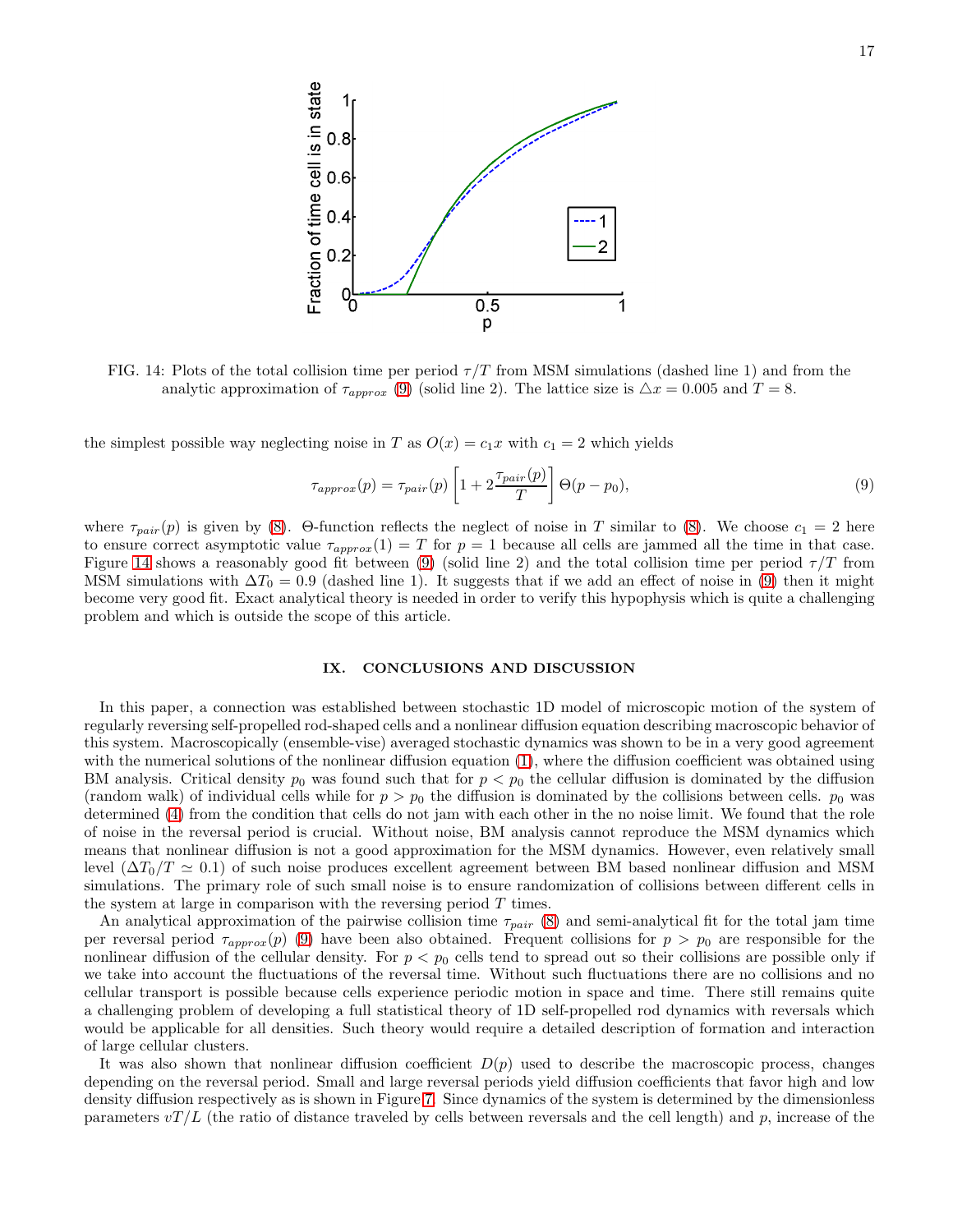

<span id="page-16-1"></span>FIG. 14: Plots of the total collision time per period  $\tau/T$  from MSM simulations (dashed line 1) and from the analytic approximation of  $\tau_{approx}$  [\(9\)](#page-16-2) (solid line 2). The lattice size is  $\Delta x = 0.005$  and  $T = 8$ .

the simplest possible way neglecting noise in T as  $O(x) = c_1 x$  with  $c_1 = 2$  which yields

<span id="page-16-2"></span>
$$
\tau_{approx}(p) = \tau_{pair}(p) \left[ 1 + 2 \frac{\tau_{pair}(p)}{T} \right] \Theta(p - p_0),\tag{9}
$$

where  $\tau_{pair}(p)$  is given by [\(8\)](#page-14-3). Θ-function reflects the neglect of noise in T similar to (8). We choose  $c_1 = 2$  here to ensure correct asymptotic value  $\tau_{approx}(1) = T$  for  $p = 1$  because all cells are jammed all the time in that case. Figure [14](#page-16-1) shows a reasonably good fit between [\(9\)](#page-16-2) (solid line 2) and the total collision time per period  $\tau/T$  from MSM simulations with  $\Delta T_0 = 0.9$  (dashed line 1). It suggests that if we add an effect of noise in [\(9\)](#page-16-2) then it might become very good fit. Exact analytical theory is needed in order to verify this hypophysis which is quite a challenging problem and which is outside the scope of this article.

## <span id="page-16-0"></span>IX. CONCLUSIONS AND DISCUSSION

In this paper, a connection was established between stochastic 1D model of microscopic motion of the system of regularly reversing self-propelled rod-shaped cells and a nonlinear diffusion equation describing macroscopic behavior of this system. Macroscopically (ensemble-vise) averaged stochastic dynamics was shown to be in a very good agreement with the numerical solutions of the nonlinear diffusion equation [\(1\)](#page-2-1), where the diffusion coefficient was obtained using BM analysis. Critical density  $p_0$  was found such that for  $p < p_0$  the cellular diffusion is dominated by the diffusion (random walk) of individual cells while for  $p > p_0$  the diffusion is dominated by the collisions between cells.  $p_0$  was determined [\(4\)](#page-6-1) from the condition that cells do not jam with each other in the no noise limit. We found that the role of noise in the reversal period is crucial. Without noise, BM analysis cannot reproduce the MSM dynamics which means that nonlinear diffusion is not a good approximation for the MSM dynamics. However, even relatively small level  $(\Delta T_0/T \simeq 0.1)$  of such noise produces excellent agreement between BM based nonlinear diffusion and MSM simulations. The primary role of such small noise is to ensure randomization of collisions between different cells in the system at large in comparison with the reversing period  $T$  times.

An analytical approximation of the pairwise collision time  $\tau_{pair}$  [\(8\)](#page-14-3) and semi-analytical fit for the total jam time per reversal period  $\tau_{approx}(p)$  [\(9\)](#page-16-2) have been also obtained. Frequent collisions for  $p > p_0$  are responsible for the nonlinear diffusion of the cellular density. For  $p < p_0$  cells tend to spread out so their collisions are possible only if we take into account the fluctuations of the reversal time. Without such fluctuations there are no collisions and no cellular transport is possible because cells experience periodic motion in space and time. There still remains quite a challenging problem of developing a full statistical theory of 1D self-propelled rod dynamics with reversals which would be applicable for all densities. Such theory would require a detailed description of formation and interaction of large cellular clusters.

It was also shown that nonlinear diffusion coefficient  $D(p)$  used to describe the macroscopic process, changes depending on the reversal period. Small and large reversal periods yield diffusion coefficients that favor high and low density diffusion respectively as is shown in Figure [7.](#page-10-1) Since dynamics of the system is determined by the dimensionless parameters  $vT/L$  (the ratio of distance traveled by cells between reversals and the cell length) and p, increase of the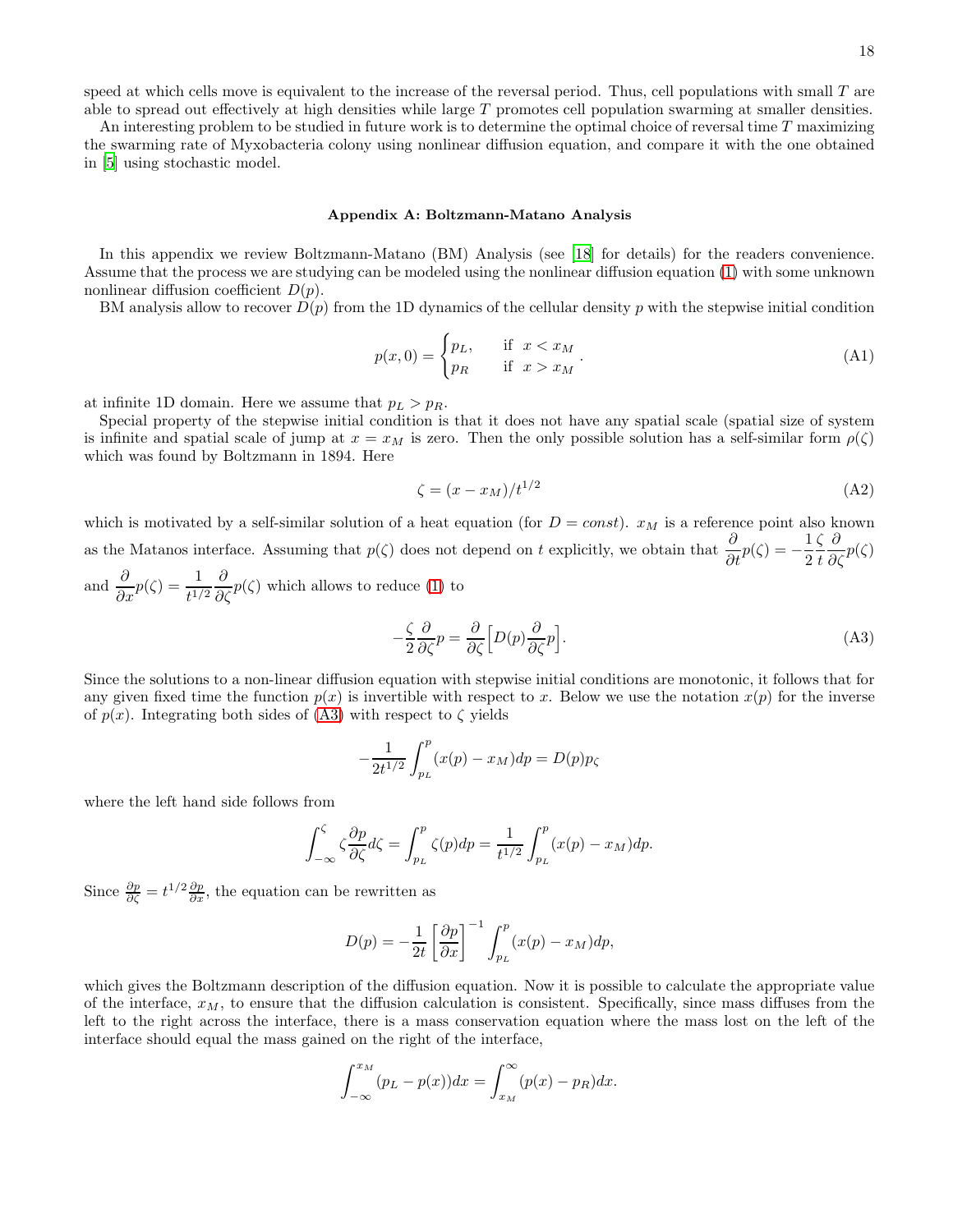speed at which cells move is equivalent to the increase of the reversal period. Thus, cell populations with small T are able to spread out effectively at high densities while large T promotes cell population swarming at smaller densities.

An interesting problem to be studied in future work is to determine the optimal choice of reversal time T maximizing the swarming rate of Myxobacteria colony using nonlinear diffusion equation, and compare it with the one obtained in [\[5](#page-19-4)] using stochastic model.

### Appendix A: Boltzmann-Matano Analysis

In this appendix we review Boltzmann-Matano (BM) Analysis (see [\[18\]](#page-20-6) for details) for the readers convenience. Assume that the process we are studying can be modeled using the nonlinear diffusion equation [\(1\)](#page-2-1) with some unknown nonlinear diffusion coefficient  $D(p)$ .

BM analysis allow to recover  $D(p)$  from the 1D dynamics of the cellular density p with the stepwise initial condition

$$
p(x,0) = \begin{cases} p_L, & \text{if } x < x_M \\ p_R & \text{if } x > x_M \end{cases} \tag{A1}
$$

at infinite 1D domain. Here we assume that  $p_L > p_R$ .

Special property of the stepwise initial condition is that it does not have any spatial scale (spatial size of system is infinite and spatial scale of jump at  $x = x_M$  is zero. Then the only possible solution has a self-similar form  $\rho(\zeta)$ which was found by Boltzmann in 1894. Here

$$
\zeta = (x - x_M)/t^{1/2} \tag{A2}
$$

which is motivated by a self-similar solution of a heat equation (for  $D = const$ ).  $x_M$  is a reference point also known as the Matanos interface. Assuming that  $p(\zeta)$  does not depend on t explicitly, we obtain that  $\frac{\partial}{\partial t}p(\zeta) = -\frac{1}{2}$ 2 ζ t  $\frac{\partial}{\partial \zeta} p(\zeta)$ and  $\frac{\partial}{\partial x}p(\zeta) = \frac{1}{t^{1/2}}$  $\frac{\partial}{\partial \zeta} p(\zeta)$  which allows to reduce [\(1\)](#page-2-1) to

<span id="page-17-0"></span>
$$
-\frac{\zeta}{2}\frac{\partial}{\partial \zeta}p = \frac{\partial}{\partial \zeta}\Big[D(p)\frac{\partial}{\partial \zeta}p\Big].\tag{A3}
$$

Since the solutions to a non-linear diffusion equation with stepwise initial conditions are monotonic, it follows that for any given fixed time the function  $p(x)$  is invertible with respect to x. Below we use the notation  $x(p)$  for the inverse of  $p(x)$ . Integrating both sides of [\(A3\)](#page-17-0) with respect to  $\zeta$  yields

$$
-\frac{1}{2t^{1/2}}\int_{p_L}^p (x(p) - x_M)dp = D(p)p_\zeta
$$

where the left hand side follows from

$$
\int_{-\infty}^{\zeta} \zeta \frac{\partial p}{\partial \zeta} d\zeta = \int_{p_L}^{p} \zeta(p) dp = \frac{1}{t^{1/2}} \int_{p_L}^{p} (x(p) - x_M) dp.
$$

Since  $\frac{\partial p}{\partial \zeta} = t^{1/2} \frac{\partial p}{\partial x}$ , the equation can be rewritten as

$$
D(p) = -\frac{1}{2t} \left[ \frac{\partial p}{\partial x} \right]^{-1} \int_{p_L}^p (x(p) - x_M) dp,
$$

which gives the Boltzmann description of the diffusion equation. Now it is possible to calculate the appropriate value of the interface,  $x_M$ , to ensure that the diffusion calculation is consistent. Specifically, since mass diffuses from the left to the right across the interface, there is a mass conservation equation where the mass lost on the left of the interface should equal the mass gained on the right of the interface,

$$
\int_{-\infty}^{x_M} (p_L - p(x)) dx = \int_{x_M}^{\infty} (p(x) - p_R) dx.
$$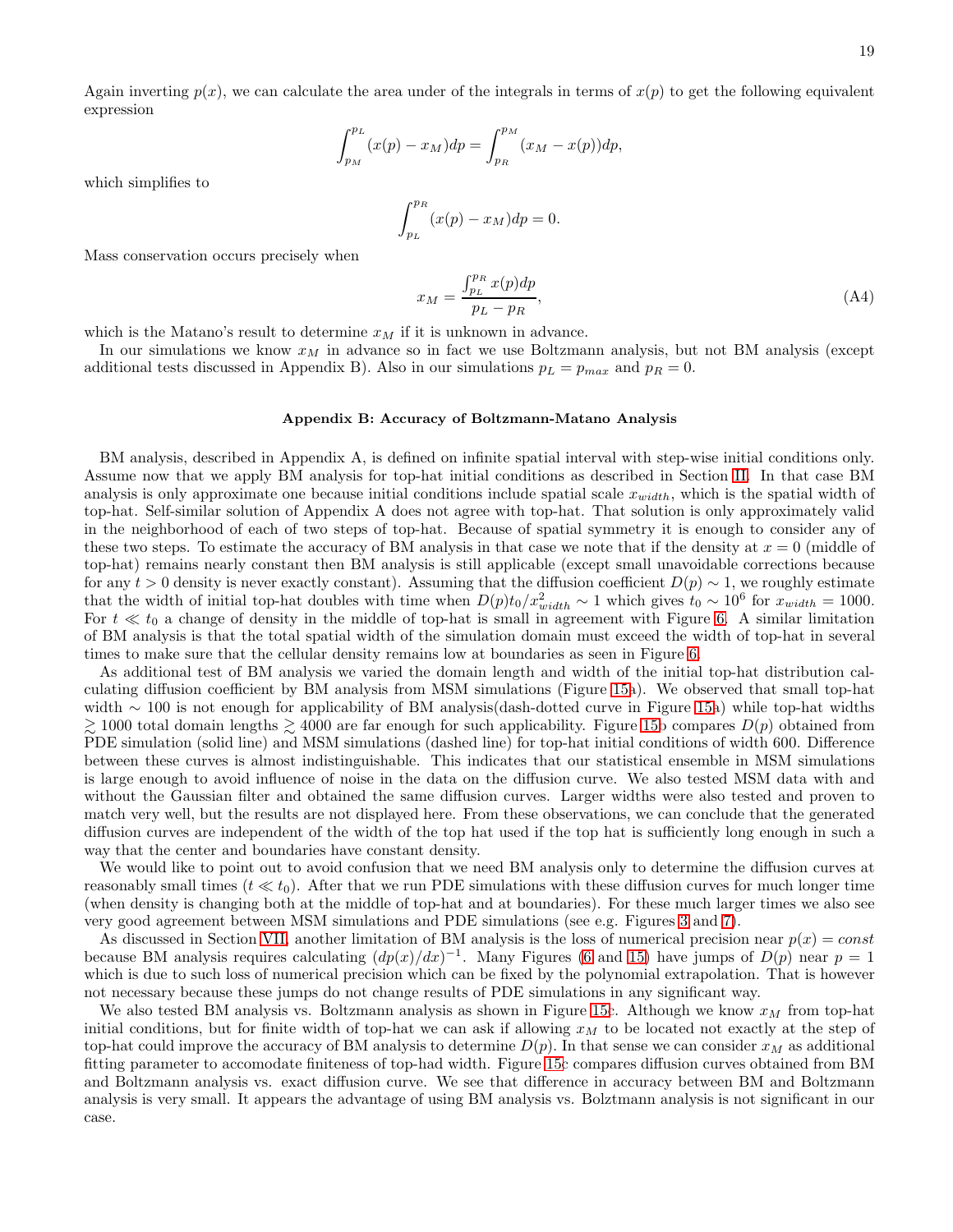Again inverting  $p(x)$ , we can calculate the area under of the integrals in terms of  $x(p)$  to get the following equivalent expression

$$
\int_{p_M}^{p_L} (x(p) - x_M) dp = \int_{p_R}^{p_M} (x_M - x(p)) dp,
$$

which simplifies to

$$
\int_{p_L}^{p_R} (x(p) - x_M) dp = 0.
$$

Mass conservation occurs precisely when

$$
x_M = \frac{\int_{p_L}^{p_R} x(p) dp}{p_L - p_R},\tag{A4}
$$

which is the Matano's result to determine  $x_M$  if it is unknown in advance.

In our simulations we know  $x_M$  in advance so in fact we use Boltzmann analysis, but not BM analysis (except additional tests discussed in Appendix B). Also in our simulations  $p_L = p_{max}$  and  $p_R = 0$ .

### Appendix B: Accuracy of Boltzmann-Matano Analysis

BM analysis, described in Appendix A, is defined on infinite spatial interval with step-wise initial conditions only. Assume now that we apply BM analysis for top-hat initial conditions as described in Section [II.](#page-2-0) In that case BM analysis is only approximate one because initial conditions include spatial scale  $x_{width}$ , which is the spatial width of top-hat. Self-similar solution of Appendix A does not agree with top-hat. That solution is only approximately valid in the neighborhood of each of two steps of top-hat. Because of spatial symmetry it is enough to consider any of these two steps. To estimate the accuracy of BM analysis in that case we note that if the density at  $x = 0$  (middle of top-hat) remains nearly constant then BM analysis is still applicable (except small unavoidable corrections because for any  $t > 0$  density is never exactly constant). Assuming that the diffusion coefficient  $D(p) \sim 1$ , we roughly estimate that the width of initial top-hat doubles with time when  $D(p)t_0/x_{width}^2 \sim 1$  which gives  $t_0 \sim 10^6$  for  $x_{width} = 1000$ . For  $t \ll t_0$  a change of density in the middle of top-hat is small in agreement with Figure [6.](#page-10-0) A similar limitation of BM analysis is that the total spatial width of the simulation domain must exceed the width of top-hat in several times to make sure that the cellular density remains low at boundaries as seen in Figure [6.](#page-10-0)

As additional test of BM analysis we varied the domain length and width of the initial top-hat distribution calculating diffusion coefficient by BM analysis from MSM simulations (Figure [15a](#page-19-10)). We observed that small top-hat width ∼ 100 is not enough for applicability of BM analysis(dash-dotted curve in Figure [15a](#page-19-10)) while top-hat widths  $\gtrsim$  1000 total domain lengths  $\gtrsim$  4000 are far enough for such applicability. Figure [15b](#page-19-10) compares  $D(p)$  obtained from PDE simulation (solid line) and MSM simulations (dashed line) for top-hat initial conditions of width 600. Difference between these curves is almost indistinguishable. This indicates that our statistical ensemble in MSM simulations is large enough to avoid influence of noise in the data on the diffusion curve. We also tested MSM data with and without the Gaussian filter and obtained the same diffusion curves. Larger widths were also tested and proven to match very well, but the results are not displayed here. From these observations, we can conclude that the generated diffusion curves are independent of the width of the top hat used if the top hat is sufficiently long enough in such a way that the center and boundaries have constant density.

We would like to point out to avoid confusion that we need BM analysis only to determine the diffusion curves at reasonably small times ( $t \ll t_0$ ). After that we run PDE simulations with these diffusion curves for much longer time (when density is changing both at the middle of top-hat and at boundaries). For these much larger times we also see very good agreement between MSM simulations and PDE simulations (see e.g. Figures [3](#page-5-0) and [7\)](#page-10-1).

As discussed in Section [VII,](#page-7-1) another limitation of BM analysis is the loss of numerical precision near  $p(x) = const$ because BM analysis requires calculating  $(dp(x)/dx)^{-1}$ . Many Figures [\(6](#page-10-0) and [15\)](#page-19-10) have jumps of  $D(p)$  near  $p=1$ which is due to such loss of numerical precision which can be fixed by the polynomial extrapolation. That is however not necessary because these jumps do not change results of PDE simulations in any significant way.

We also tested BM analysis vs. Boltzmann analysis as shown in Figure [15c](#page-19-10). Although we know  $x<sub>M</sub>$  from top-hat initial conditions, but for finite width of top-hat we can ask if allowing  $x_M$  to be located not exactly at the step of top-hat could improve the accuracy of BM analysis to determine  $D(p)$ . In that sense we can consider  $x_M$  as additional fitting parameter to accomodate finiteness of top-had width. Figure [15c](#page-19-10) compares diffusion curves obtained from BM and Boltzmann analysis vs. exact diffusion curve. We see that difference in accuracy between BM and Boltzmann analysis is very small. It appears the advantage of using BM analysis vs. Bolztmann analysis is not significant in our case.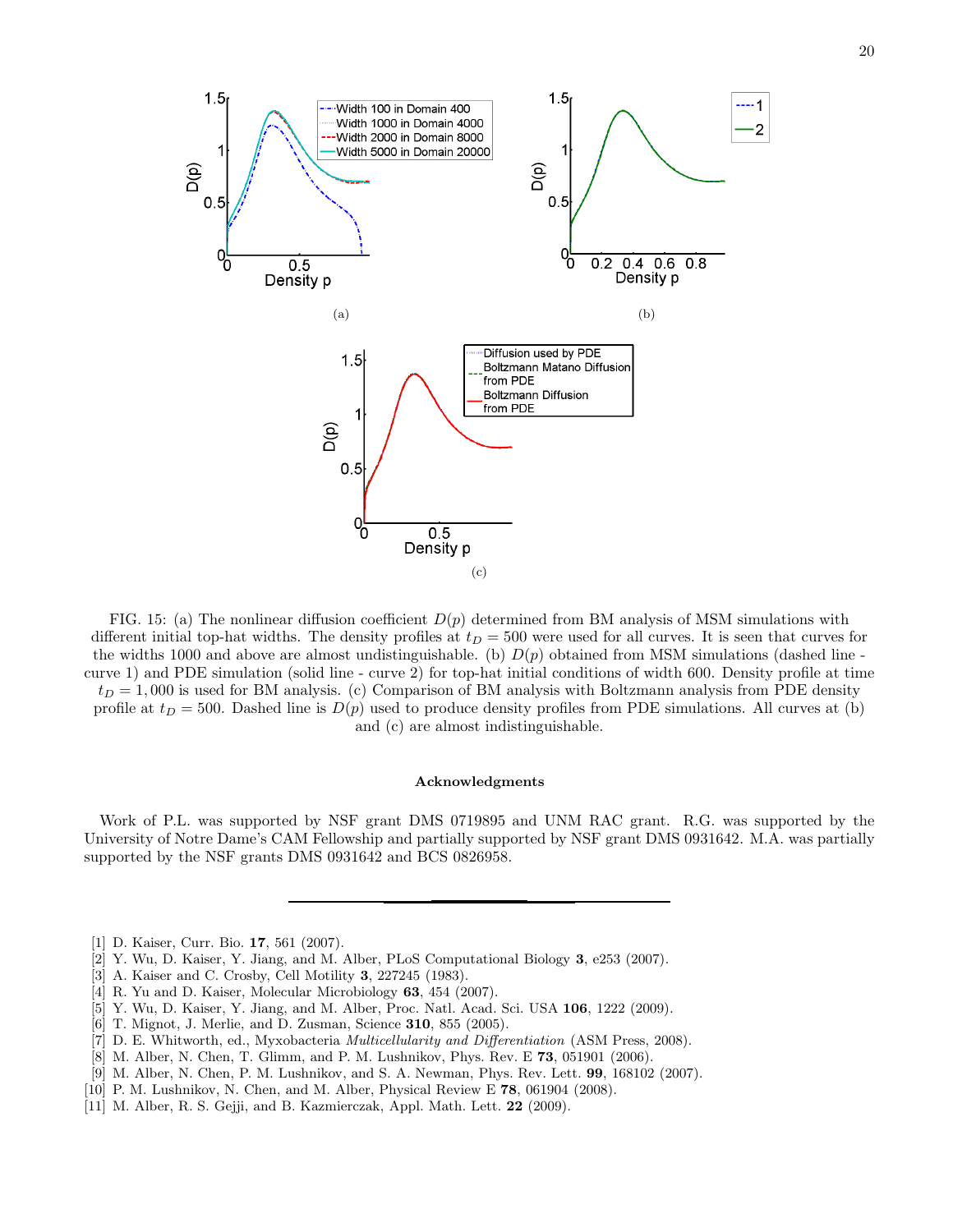

<span id="page-19-10"></span>FIG. 15: (a) The nonlinear diffusion coefficient  $D(p)$  determined from BM analysis of MSM simulations with different initial top-hat widths. The density profiles at  $t_D = 500$  were used for all curves. It is seen that curves for the widths 1000 and above are almost undistinguishable. (b)  $D(p)$  obtained from MSM simulations (dashed line curve 1) and PDE simulation (solid line - curve 2) for top-hat initial conditions of width 600. Density profile at time  $t_D = 1,000$  is used for BM analysis. (c) Comparison of BM analysis with Boltzmann analysis from PDE density profile at  $t_D = 500$ . Dashed line is  $D(p)$  used to produce density profiles from PDE simulations. All curves at (b) and (c) are almost indistinguishable.

### Acknowledgments

Work of P.L. was supported by NSF grant DMS 0719895 and UNM RAC grant. R.G. was supported by the University of Notre Dame's CAM Fellowship and partially supported by NSF grant DMS 0931642. M.A. was partially supported by the NSF grants DMS 0931642 and BCS 0826958.

- <span id="page-19-0"></span>[1] D. Kaiser, Curr. Bio. **17**, 561 (2007).
- <span id="page-19-1"></span>[2] Y. Wu, D. Kaiser, Y. Jiang, and M. Alber, PLoS Computational Biology 3, e253 (2007).
- <span id="page-19-2"></span>[3] A. Kaiser and C. Crosby, Cell Motility 3, 227245 (1983).
- <span id="page-19-3"></span>[4] R. Yu and D. Kaiser, Molecular Microbiology 63, 454 (2007).
- <span id="page-19-4"></span>[5] Y. Wu, D. Kaiser, Y. Jiang, and M. Alber, Proc. Natl. Acad. Sci. USA 106, 1222 (2009).
- <span id="page-19-5"></span>[6] T. Mignot, J. Merlie, and D. Zusman, Science 310, 855 (2005).
- <span id="page-19-6"></span>[7] D. E. Whitworth, ed., Myxobacteria Multicellularity and Differentiation (ASM Press, 2008).
- <span id="page-19-7"></span>[8] M. Alber, N. Chen, T. Glimm, and P. M. Lushnikov, Phys. Rev. E 73, 051901 (2006).
- [9] M. Alber, N. Chen, P. M. Lushnikov, and S. A. Newman, Phys. Rev. Lett. 99, 168102 (2007).
- <span id="page-19-8"></span>[10] P. M. Lushnikov, N. Chen, and M. Alber, Physical Review E 78, 061904 (2008).
- <span id="page-19-9"></span>[11] M. Alber, R. S. Gejji, and B. Kazmierczak, Appl. Math. Lett. 22 (2009).